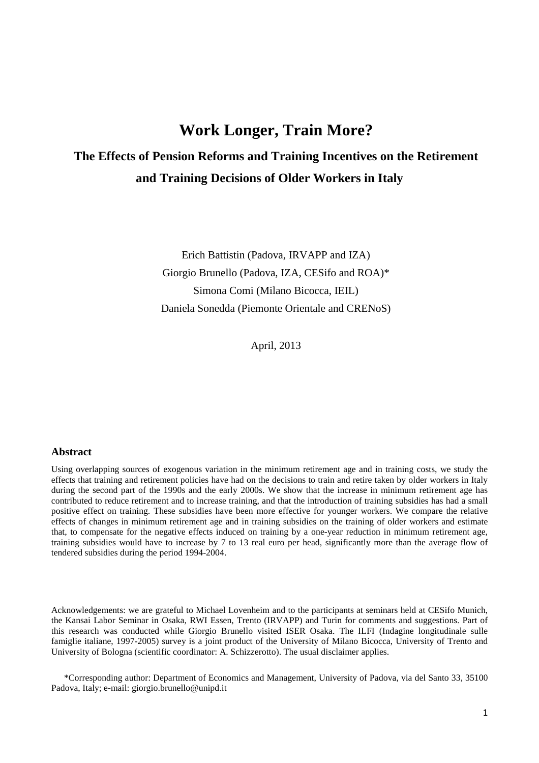# **Work Longer, Train More?**

# **The Effects of Pension Reforms and Training Incentives on the Retirement and Training Decisions of Older Workers in Italy**

Erich Battistin (Padova, IRVAPP and IZA) Giorgio Brunello (Padova, IZA, CESifo and ROA)\* Simona Comi (Milano Bicocca, IEIL) Daniela Sonedda (Piemonte Orientale and CRENoS)

April, 2013

#### **Abstract**

Using overlapping sources of exogenous variation in the minimum retirement age and in training costs, we study the effects that training and retirement policies have had on the decisions to train and retire taken by older workers in Italy during the second part of the 1990s and the early 2000s. We show that the increase in minimum retirement age has contributed to reduce retirement and to increase training, and that the introduction of training subsidies has had a small positive effect on training. These subsidies have been more effective for younger workers. We compare the relative effects of changes in minimum retirement age and in training subsidies on the training of older workers and estimate that, to compensate for the negative effects induced on training by a one-year reduction in minimum retirement age, training subsidies would have to increase by 7 to 13 real euro per head, significantly more than the average flow of tendered subsidies during the period 1994-2004.

Acknowledgements: we are grateful to Michael Lovenheim and to the participants at seminars held at CESifo Munich, the Kansai Labor Seminar in Osaka, RWI Essen, Trento (IRVAPP) and Turin for comments and suggestions. Part of this research was conducted while Giorgio Brunello visited ISER Osaka. The ILFI (Indagine longitudinale sulle famiglie italiane, 1997-2005) survey is a joint product of the University of Milano Bicocca, University of Trento and University of Bologna (scientific coordinator: A. Schizzerotto). The usual disclaimer applies.

\*Corresponding author: Department of Economics and Management, University of Padova, via del Santo 33, 35100 Padova, Italy; e-mail: giorgio.brunello@unipd.it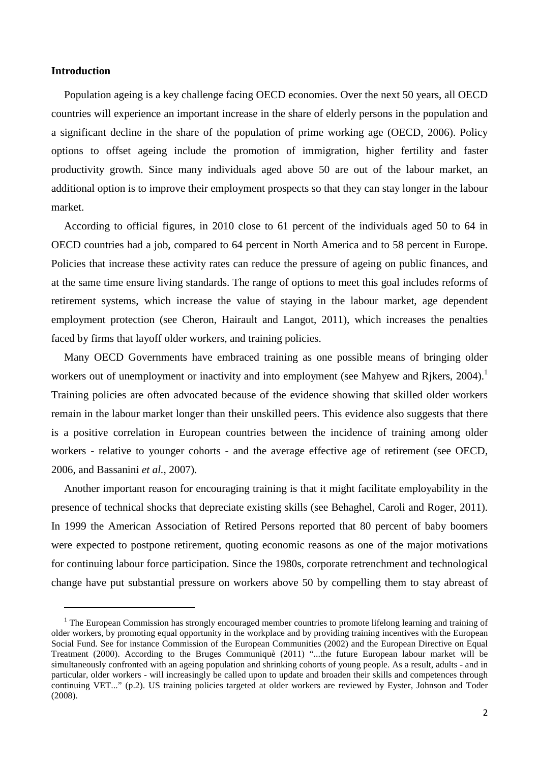#### **Introduction**

 $\overline{a}$ 

Population ageing is a key challenge facing OECD economies. Over the next 50 years, all OECD countries will experience an important increase in the share of elderly persons in the population and a significant decline in the share of the population of prime working age (OECD, 2006). Policy options to offset ageing include the promotion of immigration, higher fertility and faster productivity growth. Since many individuals aged above 50 are out of the labour market, an additional option is to improve their employment prospects so that they can stay longer in the labour market.

According to official figures, in 2010 close to 61 percent of the individuals aged 50 to 64 in OECD countries had a job, compared to 64 percent in North America and to 58 percent in Europe. Policies that increase these activity rates can reduce the pressure of ageing on public finances, and at the same time ensure living standards. The range of options to meet this goal includes reforms of retirement systems, which increase the value of staying in the labour market, age dependent employment protection (see Cheron, Hairault and Langot, 2011), which increases the penalties faced by firms that layoff older workers, and training policies.

Many OECD Governments have embraced training as one possible means of bringing older workers out of unemployment or inactivity and into employment (see Mahyew and Rikers, 2004).<sup>1</sup> Training policies are often advocated because of the evidence showing that skilled older workers remain in the labour market longer than their unskilled peers. This evidence also suggests that there is a positive correlation in European countries between the incidence of training among older workers - relative to younger cohorts - and the average effective age of retirement (see OECD, 2006, and Bassanini *et al.*, 2007).

Another important reason for encouraging training is that it might facilitate employability in the presence of technical shocks that depreciate existing skills (see Behaghel, Caroli and Roger, 2011). In 1999 the American Association of Retired Persons reported that 80 percent of baby boomers were expected to postpone retirement, quoting economic reasons as one of the major motivations for continuing labour force participation. Since the 1980s, corporate retrenchment and technological change have put substantial pressure on workers above 50 by compelling them to stay abreast of

<sup>&</sup>lt;sup>1</sup> The European Commission has strongly encouraged member countries to promote lifelong learning and training of older workers, by promoting equal opportunity in the workplace and by providing training incentives with the European Social Fund. See for instance Commission of the European Communities (2002) and the European Directive on Equal Treatment (2000). According to the Bruges Communiquè (2011) "...the future European labour market will be simultaneously confronted with an ageing population and shrinking cohorts of young people. As a result, adults - and in particular, older workers - will increasingly be called upon to update and broaden their skills and competences through continuing VET..." (p.2). US training policies targeted at older workers are reviewed by Eyster, Johnson and Toder (2008).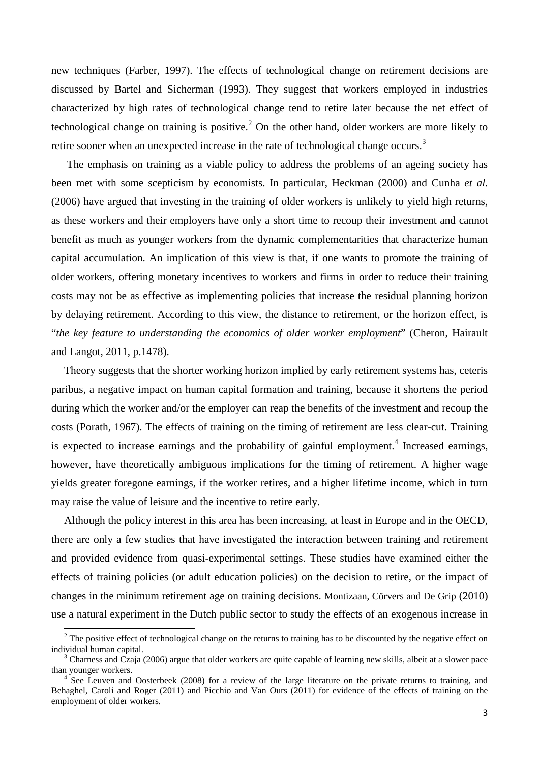new techniques (Farber, 1997). The effects of technological change on retirement decisions are discussed by Bartel and Sicherman (1993). They suggest that workers employed in industries characterized by high rates of technological change tend to retire later because the net effect of technological change on training is positive.<sup>2</sup> On the other hand, older workers are more likely to retire sooner when an unexpected increase in the rate of technological change occurs.<sup>3</sup>

 The emphasis on training as a viable policy to address the problems of an ageing society has been met with some scepticism by economists. In particular, Heckman (2000) and Cunha *et al.* (2006) have argued that investing in the training of older workers is unlikely to yield high returns, as these workers and their employers have only a short time to recoup their investment and cannot benefit as much as younger workers from the dynamic complementarities that characterize human capital accumulation. An implication of this view is that, if one wants to promote the training of older workers, offering monetary incentives to workers and firms in order to reduce their training costs may not be as effective as implementing policies that increase the residual planning horizon by delaying retirement. According to this view, the distance to retirement, or the horizon effect, is "*the key feature to understanding the economics of older worker employment*" (Cheron, Hairault and Langot, 2011, p.1478).

Theory suggests that the shorter working horizon implied by early retirement systems has, ceteris paribus, a negative impact on human capital formation and training, because it shortens the period during which the worker and/or the employer can reap the benefits of the investment and recoup the costs (Porath, 1967). The effects of training on the timing of retirement are less clear-cut. Training is expected to increase earnings and the probability of gainful employment.<sup>4</sup> Increased earnings, however, have theoretically ambiguous implications for the timing of retirement. A higher wage yields greater foregone earnings, if the worker retires, and a higher lifetime income, which in turn may raise the value of leisure and the incentive to retire early.

Although the policy interest in this area has been increasing, at least in Europe and in the OECD, there are only a few studies that have investigated the interaction between training and retirement and provided evidence from quasi-experimental settings. These studies have examined either the effects of training policies (or adult education policies) on the decision to retire, or the impact of changes in the minimum retirement age on training decisions. Montizaan, Cörvers and De Grip (2010) use a natural experiment in the Dutch public sector to study the effects of an exogenous increase in

 $\overline{a}$ 

 $2<sup>2</sup>$  The positive effect of technological change on the returns to training has to be discounted by the negative effect on individual human capital.

 $3$  Charness and Czaja (2006) argue that older workers are quite capable of learning new skills, albeit at a slower pace than younger workers.

<sup>&</sup>lt;sup>4</sup> See Leuven and Oosterbeek (2008) for a review of the large literature on the private returns to training, and Behaghel, Caroli and Roger (2011) and Picchio and Van Ours (2011) for evidence of the effects of training on the employment of older workers.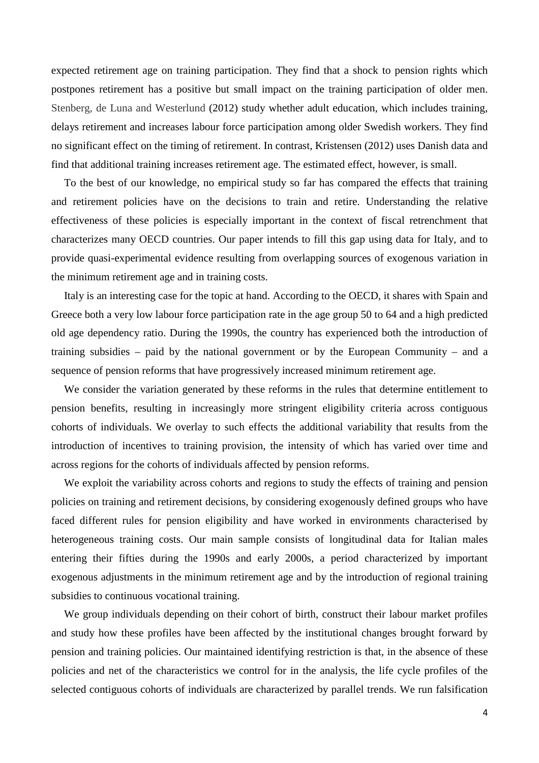expected retirement age on training participation. They find that a shock to pension rights which postpones retirement has a positive but small impact on the training participation of older men. Stenberg, de Luna and Westerlund (2012) study whether adult education, which includes training, delays retirement and increases labour force participation among older Swedish workers. They find no significant effect on the timing of retirement. In contrast, Kristensen (2012) uses Danish data and find that additional training increases retirement age. The estimated effect, however, is small.

To the best of our knowledge, no empirical study so far has compared the effects that training and retirement policies have on the decisions to train and retire. Understanding the relative effectiveness of these policies is especially important in the context of fiscal retrenchment that characterizes many OECD countries. Our paper intends to fill this gap using data for Italy, and to provide quasi-experimental evidence resulting from overlapping sources of exogenous variation in the minimum retirement age and in training costs.

Italy is an interesting case for the topic at hand. According to the OECD, it shares with Spain and Greece both a very low labour force participation rate in the age group 50 to 64 and a high predicted old age dependency ratio. During the 1990s, the country has experienced both the introduction of training subsidies – paid by the national government or by the European Community – and a sequence of pension reforms that have progressively increased minimum retirement age.

We consider the variation generated by these reforms in the rules that determine entitlement to pension benefits, resulting in increasingly more stringent eligibility criteria across contiguous cohorts of individuals. We overlay to such effects the additional variability that results from the introduction of incentives to training provision, the intensity of which has varied over time and across regions for the cohorts of individuals affected by pension reforms.

We exploit the variability across cohorts and regions to study the effects of training and pension policies on training and retirement decisions, by considering exogenously defined groups who have faced different rules for pension eligibility and have worked in environments characterised by heterogeneous training costs. Our main sample consists of longitudinal data for Italian males entering their fifties during the 1990s and early 2000s, a period characterized by important exogenous adjustments in the minimum retirement age and by the introduction of regional training subsidies to continuous vocational training.

We group individuals depending on their cohort of birth, construct their labour market profiles and study how these profiles have been affected by the institutional changes brought forward by pension and training policies. Our maintained identifying restriction is that, in the absence of these policies and net of the characteristics we control for in the analysis, the life cycle profiles of the selected contiguous cohorts of individuals are characterized by parallel trends. We run falsification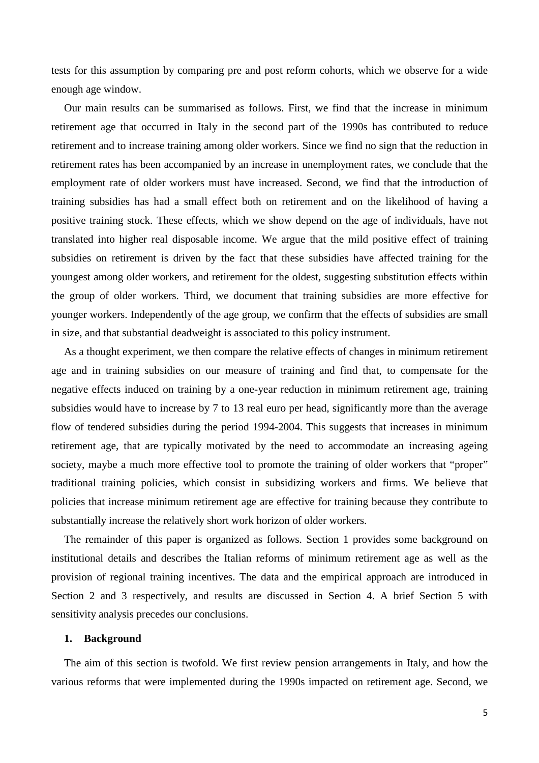tests for this assumption by comparing pre and post reform cohorts, which we observe for a wide enough age window.

Our main results can be summarised as follows. First, we find that the increase in minimum retirement age that occurred in Italy in the second part of the 1990s has contributed to reduce retirement and to increase training among older workers. Since we find no sign that the reduction in retirement rates has been accompanied by an increase in unemployment rates, we conclude that the employment rate of older workers must have increased. Second, we find that the introduction of training subsidies has had a small effect both on retirement and on the likelihood of having a positive training stock. These effects, which we show depend on the age of individuals, have not translated into higher real disposable income. We argue that the mild positive effect of training subsidies on retirement is driven by the fact that these subsidies have affected training for the youngest among older workers, and retirement for the oldest, suggesting substitution effects within the group of older workers. Third, we document that training subsidies are more effective for younger workers. Independently of the age group, we confirm that the effects of subsidies are small in size, and that substantial deadweight is associated to this policy instrument.

As a thought experiment, we then compare the relative effects of changes in minimum retirement age and in training subsidies on our measure of training and find that, to compensate for the negative effects induced on training by a one-year reduction in minimum retirement age, training subsidies would have to increase by 7 to 13 real euro per head, significantly more than the average flow of tendered subsidies during the period 1994-2004. This suggests that increases in minimum retirement age, that are typically motivated by the need to accommodate an increasing ageing society, maybe a much more effective tool to promote the training of older workers that "proper" traditional training policies, which consist in subsidizing workers and firms. We believe that policies that increase minimum retirement age are effective for training because they contribute to substantially increase the relatively short work horizon of older workers.

The remainder of this paper is organized as follows. Section 1 provides some background on institutional details and describes the Italian reforms of minimum retirement age as well as the provision of regional training incentives. The data and the empirical approach are introduced in Section 2 and 3 respectively, and results are discussed in Section 4. A brief Section 5 with sensitivity analysis precedes our conclusions.

#### **1. Background**

The aim of this section is twofold. We first review pension arrangements in Italy, and how the various reforms that were implemented during the 1990s impacted on retirement age. Second, we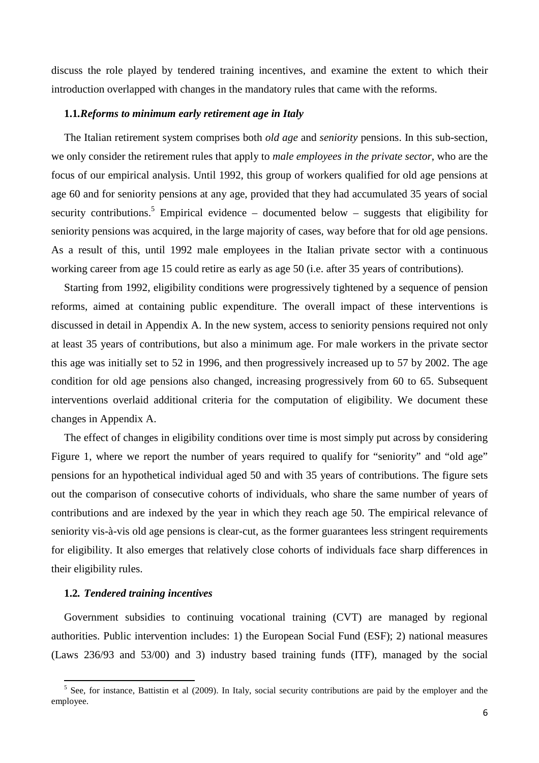discuss the role played by tendered training incentives, and examine the extent to which their introduction overlapped with changes in the mandatory rules that came with the reforms.

#### **1.1***.Reforms to minimum early retirement age in Italy*

The Italian retirement system comprises both *old age* and *seniority* pensions. In this sub-section, we only consider the retirement rules that apply to *male employees in the private sector*, who are the focus of our empirical analysis. Until 1992, this group of workers qualified for old age pensions at age 60 and for seniority pensions at any age, provided that they had accumulated 35 years of social security contributions.<sup>5</sup> Empirical evidence – documented below – suggests that eligibility for seniority pensions was acquired, in the large majority of cases, way before that for old age pensions. As a result of this, until 1992 male employees in the Italian private sector with a continuous working career from age 15 could retire as early as age 50 (i.e. after 35 years of contributions).

Starting from 1992, eligibility conditions were progressively tightened by a sequence of pension reforms, aimed at containing public expenditure. The overall impact of these interventions is discussed in detail in Appendix A. In the new system, access to seniority pensions required not only at least 35 years of contributions, but also a minimum age. For male workers in the private sector this age was initially set to 52 in 1996, and then progressively increased up to 57 by 2002. The age condition for old age pensions also changed, increasing progressively from 60 to 65. Subsequent interventions overlaid additional criteria for the computation of eligibility. We document these changes in Appendix A.

The effect of changes in eligibility conditions over time is most simply put across by considering Figure 1, where we report the number of years required to qualify for "seniority" and "old age" pensions for an hypothetical individual aged 50 and with 35 years of contributions. The figure sets out the comparison of consecutive cohorts of individuals, who share the same number of years of contributions and are indexed by the year in which they reach age 50. The empirical relevance of seniority vis-à-vis old age pensions is clear-cut, as the former guarantees less stringent requirements for eligibility. It also emerges that relatively close cohorts of individuals face sharp differences in their eligibility rules.

#### **1.2***. Tendered training incentives*

l

Government subsidies to continuing vocational training (CVT) are managed by regional authorities. Public intervention includes: 1) the European Social Fund (ESF); 2) national measures (Laws 236/93 and 53/00) and 3) industry based training funds (ITF), managed by the social

 $<sup>5</sup>$  See, for instance, Battistin et al (2009). In Italy, social security contributions are paid by the employer and the</sup> employee.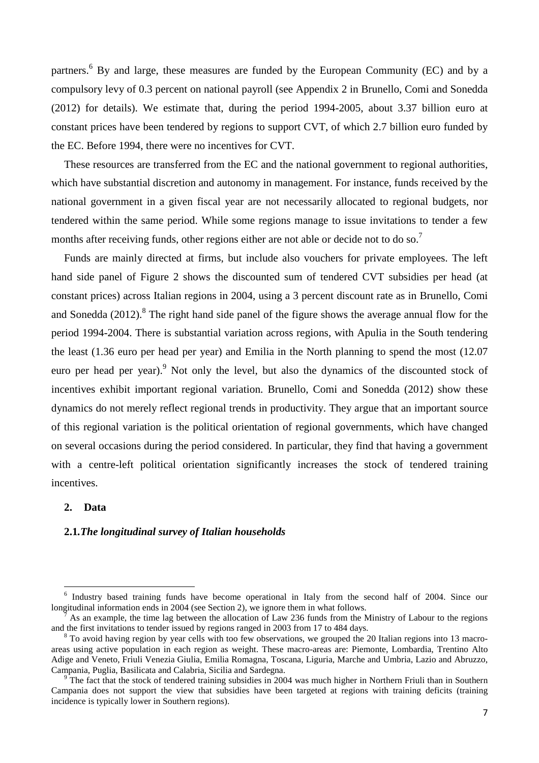partners.<sup>6</sup> By and large, these measures are funded by the European Community (EC) and by a compulsory levy of 0.3 percent on national payroll (see Appendix 2 in Brunello, Comi and Sonedda (2012) for details). We estimate that, during the period 1994-2005, about 3.37 billion euro at constant prices have been tendered by regions to support CVT, of which 2.7 billion euro funded by the EC. Before 1994, there were no incentives for CVT.

These resources are transferred from the EC and the national government to regional authorities, which have substantial discretion and autonomy in management. For instance, funds received by the national government in a given fiscal year are not necessarily allocated to regional budgets, nor tendered within the same period. While some regions manage to issue invitations to tender a few months after receiving funds, other regions either are not able or decide not to do so.<sup>7</sup>

Funds are mainly directed at firms, but include also vouchers for private employees. The left hand side panel of Figure 2 shows the discounted sum of tendered CVT subsidies per head (at constant prices) across Italian regions in 2004, using a 3 percent discount rate as in Brunello, Comi and Sonedda  $(2012)$ .<sup>8</sup> The right hand side panel of the figure shows the average annual flow for the period 1994-2004. There is substantial variation across regions, with Apulia in the South tendering the least (1.36 euro per head per year) and Emilia in the North planning to spend the most (12.07 euro per head per year).<sup>9</sup> Not only the level, but also the dynamics of the discounted stock of incentives exhibit important regional variation. Brunello, Comi and Sonedda (2012) show these dynamics do not merely reflect regional trends in productivity. They argue that an important source of this regional variation is the political orientation of regional governments, which have changed on several occasions during the period considered. In particular, they find that having a government with a centre-left political orientation significantly increases the stock of tendered training incentives.

#### **2. Data**

l

#### **2.1***.The longitudinal survey of Italian households*

<sup>&</sup>lt;sup>6</sup> Industry based training funds have become operational in Italy from the second half of 2004. Since our longitudinal information ends in 2004 (see Section 2), we ignore them in what follows.

<sup>7</sup> As an example, the time lag between the allocation of Law 236 funds from the Ministry of Labour to the regions and the first invitations to tender issued by regions ranged in 2003 from 17 to 484 days.

<sup>&</sup>lt;sup>8</sup> To avoid having region by year cells with too few observations, we grouped the 20 Italian regions into 13 macroareas using active population in each region as weight. These macro-areas are: Piemonte, Lombardia, Trentino Alto Adige and Veneto, Friuli Venezia Giulia, Emilia Romagna, Toscana, Liguria, Marche and Umbria, Lazio and Abruzzo, Campania, Puglia, Basilicata and Calabria, Sicilia and Sardegna.

 $9^{\circ}$ The fact that the stock of tendered training subsidies in 2004 was much higher in Northern Friuli than in Southern Campania does not support the view that subsidies have been targeted at regions with training deficits (training incidence is typically lower in Southern regions).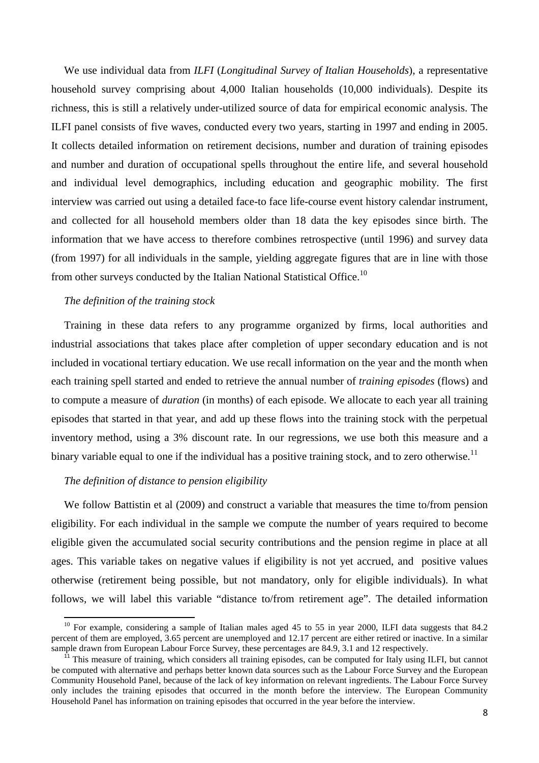We use individual data from *ILFI* (*Longitudinal Survey of Italian Households*), a representative household survey comprising about 4,000 Italian households (10,000 individuals). Despite its richness, this is still a relatively under-utilized source of data for empirical economic analysis. The ILFI panel consists of five waves, conducted every two years, starting in 1997 and ending in 2005. It collects detailed information on retirement decisions, number and duration of training episodes and number and duration of occupational spells throughout the entire life, and several household and individual level demographics, including education and geographic mobility. The first interview was carried out using a detailed face-to face life-course event history calendar instrument, and collected for all household members older than 18 data the key episodes since birth. The information that we have access to therefore combines retrospective (until 1996) and survey data (from 1997) for all individuals in the sample, yielding aggregate figures that are in line with those from other surveys conducted by the Italian National Statistical Office.<sup>10</sup>

#### *The definition of the training stock*

Training in these data refers to any programme organized by firms, local authorities and industrial associations that takes place after completion of upper secondary education and is not included in vocational tertiary education. We use recall information on the year and the month when each training spell started and ended to retrieve the annual number of *training episodes* (flows) and to compute a measure of *duration* (in months) of each episode. We allocate to each year all training episodes that started in that year, and add up these flows into the training stock with the perpetual inventory method, using a 3% discount rate. In our regressions, we use both this measure and a binary variable equal to one if the individual has a positive training stock, and to zero otherwise.<sup>11</sup>

#### *The definition of distance to pension eligibility*

 $\overline{a}$ 

We follow Battistin et al (2009) and construct a variable that measures the time to/from pension eligibility. For each individual in the sample we compute the number of years required to become eligible given the accumulated social security contributions and the pension regime in place at all ages. This variable takes on negative values if eligibility is not yet accrued, and positive values otherwise (retirement being possible, but not mandatory, only for eligible individuals). In what follows, we will label this variable "distance to/from retirement age". The detailed information

<sup>&</sup>lt;sup>10</sup> For example, considering a sample of Italian males aged 45 to 55 in year 2000, ILFI data suggests that 84.2 percent of them are employed, 3.65 percent are unemployed and 12.17 percent are either retired or inactive. In a similar sample drawn from European Labour Force Survey, these percentages are 84.9, 3.1 and 12 respectively.

 $\hat{I}$ <sup>1</sup> This measure of training, which considers all training episodes, can be computed for Italy using ILFI, but cannot be computed with alternative and perhaps better known data sources such as the Labour Force Survey and the European Community Household Panel, because of the lack of key information on relevant ingredients. The Labour Force Survey only includes the training episodes that occurred in the month before the interview. The European Community Household Panel has information on training episodes that occurred in the year before the interview.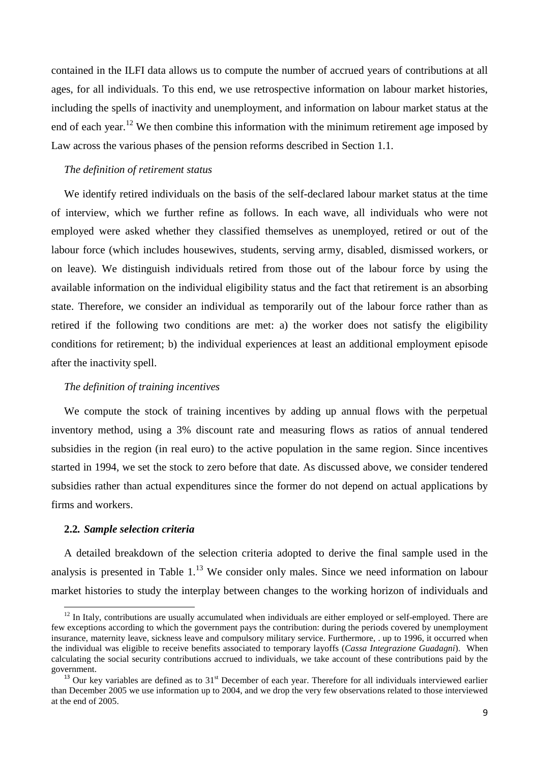contained in the ILFI data allows us to compute the number of accrued years of contributions at all ages, for all individuals. To this end, we use retrospective information on labour market histories, including the spells of inactivity and unemployment, and information on labour market status at the end of each year.<sup>12</sup> We then combine this information with the minimum retirement age imposed by Law across the various phases of the pension reforms described in Section 1.1.

#### *The definition of retirement status*

We identify retired individuals on the basis of the self-declared labour market status at the time of interview, which we further refine as follows. In each wave, all individuals who were not employed were asked whether they classified themselves as unemployed, retired or out of the labour force (which includes housewives, students, serving army, disabled, dismissed workers, or on leave). We distinguish individuals retired from those out of the labour force by using the available information on the individual eligibility status and the fact that retirement is an absorbing state. Therefore, we consider an individual as temporarily out of the labour force rather than as retired if the following two conditions are met: a) the worker does not satisfy the eligibility conditions for retirement; b) the individual experiences at least an additional employment episode after the inactivity spell.

#### *The definition of training incentives*

We compute the stock of training incentives by adding up annual flows with the perpetual inventory method, using a 3% discount rate and measuring flows as ratios of annual tendered subsidies in the region (in real euro) to the active population in the same region. Since incentives started in 1994, we set the stock to zero before that date. As discussed above, we consider tendered subsidies rather than actual expenditures since the former do not depend on actual applications by firms and workers.

#### **2.2***. Sample selection criteria*

 $\overline{a}$ 

A detailed breakdown of the selection criteria adopted to derive the final sample used in the analysis is presented in Table  $1<sup>13</sup>$  We consider only males. Since we need information on labour market histories to study the interplay between changes to the working horizon of individuals and

 $12$  In Italy, contributions are usually accumulated when individuals are either employed or self-employed. There are few exceptions according to which the government pays the contribution: during the periods covered by unemployment insurance, maternity leave, sickness leave and compulsory military service. Furthermore, . up to 1996, it occurred when the individual was eligible to receive benefits associated to temporary layoffs (*Cassa Integrazione Guadagni*). When calculating the social security contributions accrued to individuals, we take account of these contributions paid by the government.

 $13$  Our key variables are defined as to  $31<sup>st</sup>$  December of each year. Therefore for all individuals interviewed earlier than December 2005 we use information up to 2004, and we drop the very few observations related to those interviewed at the end of 2005.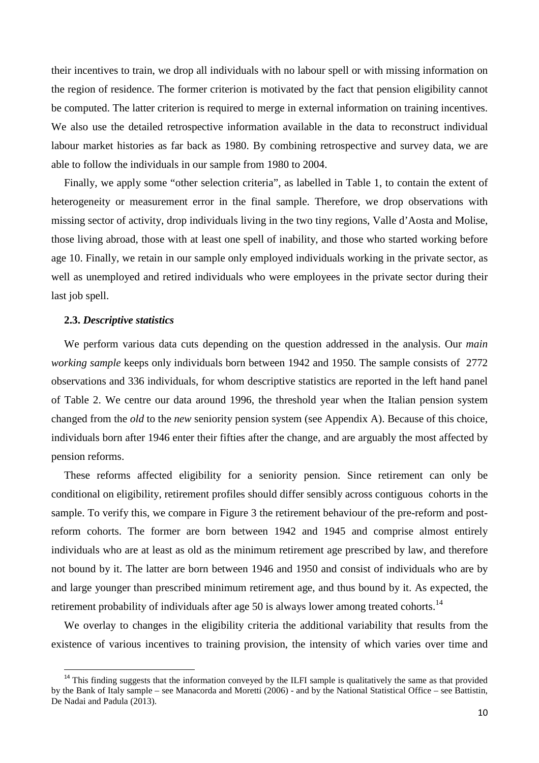their incentives to train, we drop all individuals with no labour spell or with missing information on the region of residence. The former criterion is motivated by the fact that pension eligibility cannot be computed. The latter criterion is required to merge in external information on training incentives. We also use the detailed retrospective information available in the data to reconstruct individual labour market histories as far back as 1980. By combining retrospective and survey data, we are able to follow the individuals in our sample from 1980 to 2004.

Finally, we apply some "other selection criteria", as labelled in Table 1, to contain the extent of heterogeneity or measurement error in the final sample. Therefore, we drop observations with missing sector of activity, drop individuals living in the two tiny regions, Valle d'Aosta and Molise, those living abroad, those with at least one spell of inability, and those who started working before age 10. Finally, we retain in our sample only employed individuals working in the private sector, as well as unemployed and retired individuals who were employees in the private sector during their last job spell.

#### **2.3.** *Descriptive statistics*

 $\overline{a}$ 

We perform various data cuts depending on the question addressed in the analysis. Our *main working sample* keeps only individuals born between 1942 and 1950. The sample consists of 2772 observations and 336 individuals, for whom descriptive statistics are reported in the left hand panel of Table 2. We centre our data around 1996, the threshold year when the Italian pension system changed from the *old* to the *new* seniority pension system (see Appendix A). Because of this choice, individuals born after 1946 enter their fifties after the change, and are arguably the most affected by pension reforms.

These reforms affected eligibility for a seniority pension. Since retirement can only be conditional on eligibility, retirement profiles should differ sensibly across contiguous cohorts in the sample. To verify this, we compare in Figure 3 the retirement behaviour of the pre-reform and postreform cohorts. The former are born between 1942 and 1945 and comprise almost entirely individuals who are at least as old as the minimum retirement age prescribed by law, and therefore not bound by it. The latter are born between 1946 and 1950 and consist of individuals who are by and large younger than prescribed minimum retirement age, and thus bound by it. As expected, the retirement probability of individuals after age 50 is always lower among treated cohorts.<sup>14</sup>

We overlay to changes in the eligibility criteria the additional variability that results from the existence of various incentives to training provision, the intensity of which varies over time and

<sup>&</sup>lt;sup>14</sup> This finding suggests that the information conveyed by the ILFI sample is qualitatively the same as that provided by the Bank of Italy sample – see Manacorda and Moretti (2006) - and by the National Statistical Office – see Battistin, De Nadai and Padula (2013).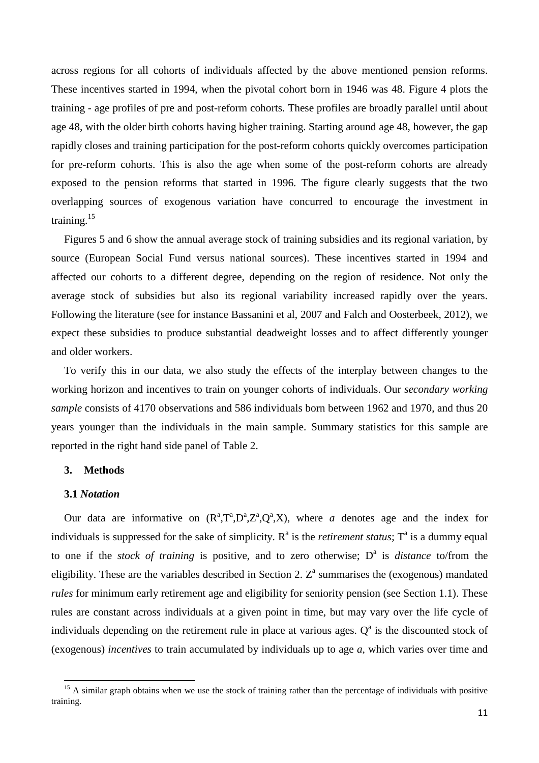across regions for all cohorts of individuals affected by the above mentioned pension reforms. These incentives started in 1994, when the pivotal cohort born in 1946 was 48. Figure 4 plots the training - age profiles of pre and post-reform cohorts. These profiles are broadly parallel until about age 48, with the older birth cohorts having higher training. Starting around age 48, however, the gap rapidly closes and training participation for the post-reform cohorts quickly overcomes participation for pre-reform cohorts. This is also the age when some of the post-reform cohorts are already exposed to the pension reforms that started in 1996. The figure clearly suggests that the two overlapping sources of exogenous variation have concurred to encourage the investment in training.<sup>15</sup>

Figures 5 and 6 show the annual average stock of training subsidies and its regional variation, by source (European Social Fund versus national sources). These incentives started in 1994 and affected our cohorts to a different degree, depending on the region of residence. Not only the average stock of subsidies but also its regional variability increased rapidly over the years. Following the literature (see for instance Bassanini et al, 2007 and Falch and Oosterbeek, 2012), we expect these subsidies to produce substantial deadweight losses and to affect differently younger and older workers.

To verify this in our data, we also study the effects of the interplay between changes to the working horizon and incentives to train on younger cohorts of individuals. Our *secondary working sample* consists of 4170 observations and 586 individuals born between 1962 and 1970, and thus 20 years younger than the individuals in the main sample. Summary statistics for this sample are reported in the right hand side panel of Table 2.

#### **3. Methods**

#### **3.1** *Notation*

l

Our data are informative on  $(R^a, T^a, D^a, Z^a, Q^a, X)$ , where *a* denotes age and the index for individuals is suppressed for the sake of simplicity.  $R^a$  is the *retirement status*;  $T^a$  is a dummy equal to one if the *stock of training* is positive, and to zero otherwise; D<sup>a</sup> is *distance* to/from the eligibility. These are the variables described in Section 2.  $Z^a$  summarises the (exogenous) mandated *rules* for minimum early retirement age and eligibility for seniority pension (see Section 1.1). These rules are constant across individuals at a given point in time, but may vary over the life cycle of individuals depending on the retirement rule in place at various ages.  $Q^a$  is the discounted stock of (exogenous) *incentives* to train accumulated by individuals up to age *a,* which varies over time and

 $15$  A similar graph obtains when we use the stock of training rather than the percentage of individuals with positive training.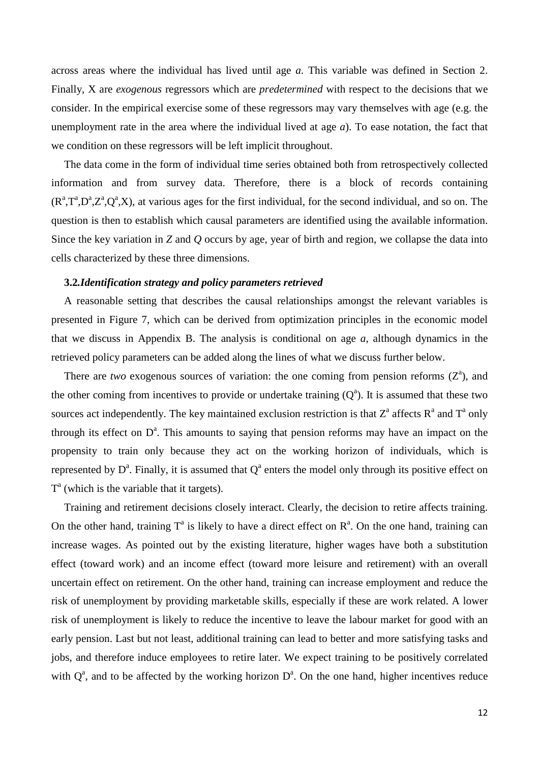across areas where the individual has lived until age *a*. This variable was defined in Section 2. Finally, X are *exogenous* regressors which are *predetermined* with respect to the decisions that we consider. In the empirical exercise some of these regressors may vary themselves with age (e.g. the unemployment rate in the area where the individual lived at age *a*). To ease notation, the fact that we condition on these regressors will be left implicit throughout.

The data come in the form of individual time series obtained both from retrospectively collected information and from survey data. Therefore, there is a block of records containing  $(R^a, T^a, D^a, Z^a, Q^a, X)$ , at various ages for the first individual, for the second individual, and so on. The question is then to establish which causal parameters are identified using the available information. Since the key variation in *Z* and *Q* occurs by age, year of birth and region, we collapse the data into cells characterized by these three dimensions.

#### **3.2***.Identification strategy and policy parameters retrieved*

A reasonable setting that describes the causal relationships amongst the relevant variables is presented in Figure 7, which can be derived from optimization principles in the economic model that we discuss in Appendix B. The analysis is conditional on age *a*, although dynamics in the retrieved policy parameters can be added along the lines of what we discuss further below.

There are *two* exogenous sources of variation: the one coming from pension reforms  $(Z^a)$ , and the other coming from incentives to provide or undertake training  $(Q<sup>a</sup>)$ . It is assumed that these two sources act independently. The key maintained exclusion restriction is that  $Z^a$  affects  $R^a$  and  $T^a$  only through its effect on  $D^a$ . This amounts to saying that pension reforms may have an impact on the propensity to train only because they act on the working horizon of individuals, which is represented by  $D^a$ . Finally, it is assumed that  $Q^a$  enters the model only through its positive effect on  $T<sup>a</sup>$  (which is the variable that it targets).

Training and retirement decisions closely interact. Clearly, the decision to retire affects training. On the other hand, training  $T^a$  is likely to have a direct effect on  $R^a$ . On the one hand, training can increase wages. As pointed out by the existing literature, higher wages have both a substitution effect (toward work) and an income effect (toward more leisure and retirement) with an overall uncertain effect on retirement. On the other hand, training can increase employment and reduce the risk of unemployment by providing marketable skills, especially if these are work related. A lower risk of unemployment is likely to reduce the incentive to leave the labour market for good with an early pension. Last but not least, additional training can lead to better and more satisfying tasks and jobs, and therefore induce employees to retire later. We expect training to be positively correlated with  $Q^a$ , and to be affected by the working horizon  $D^a$ . On the one hand, higher incentives reduce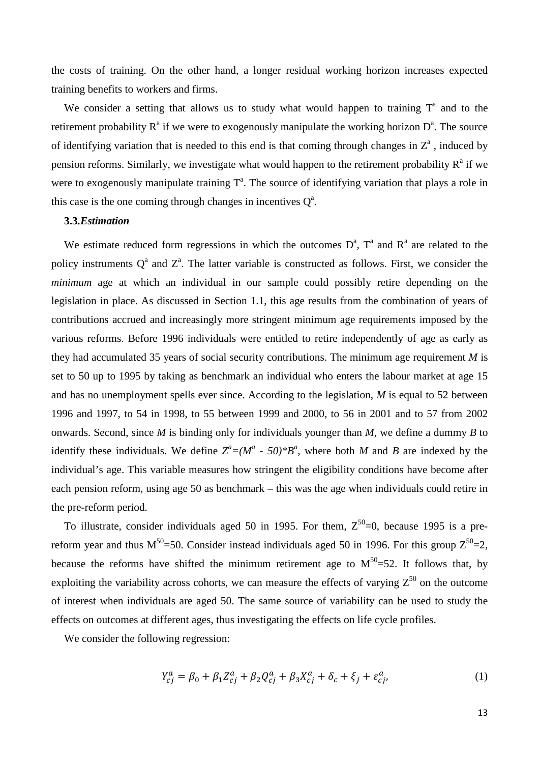the costs of training. On the other hand, a longer residual working horizon increases expected training benefits to workers and firms.

We consider a setting that allows us to study what would happen to training  $T^a$  and to the retirement probability  $R^a$  if we were to exogenously manipulate the working horizon  $D^a$ . The source of identifying variation that is needed to this end is that coming through changes in  $Z^a$ , induced by pension reforms. Similarly, we investigate what would happen to the retirement probability  $R^a$  if we were to exogenously manipulate training  $T<sup>a</sup>$ . The source of identifying variation that plays a role in this case is the one coming through changes in incentives  $Q^a$ .

#### **3.3***.Estimation*

We estimate reduced form regressions in which the outcomes  $D^a$ ,  $T^a$  and  $R^a$  are related to the policy instruments  $Q^a$  and  $Z^a$ . The latter variable is constructed as follows. First, we consider the *minimum* age at which an individual in our sample could possibly retire depending on the legislation in place. As discussed in Section 1.1, this age results from the combination of years of contributions accrued and increasingly more stringent minimum age requirements imposed by the various reforms. Before 1996 individuals were entitled to retire independently of age as early as they had accumulated 35 years of social security contributions. The minimum age requirement *M* is set to 50 up to 1995 by taking as benchmark an individual who enters the labour market at age 15 and has no unemployment spells ever since. According to the legislation, *M* is equal to 52 between 1996 and 1997, to 54 in 1998, to 55 between 1999 and 2000, to 56 in 2001 and to 57 from 2002 onwards. Second, since *M* is binding only for individuals younger than *M*, we define a dummy *B* to identify these individuals. We define  $Z^a = (M^a - 50)^*B^a$ , where both *M* and *B* are indexed by the individual's age. This variable measures how stringent the eligibility conditions have become after each pension reform, using age 50 as benchmark – this was the age when individuals could retire in the pre-reform period.

To illustrate, consider individuals aged 50 in 1995. For them,  $Z^{50}$ =0, because 1995 is a prereform year and thus  $M^{50}$ =50. Consider instead individuals aged 50 in 1996. For this group  $Z^{50}$ =2, because the reforms have shifted the minimum retirement age to  $M^{50}$ =52. It follows that, by exploiting the variability across cohorts, we can measure the effects of varying  $Z^{50}$  on the outcome of interest when individuals are aged 50. The same source of variability can be used to study the effects on outcomes at different ages, thus investigating the effects on life cycle profiles.

We consider the following regression:

$$
Y_{cj}^{a} = \beta_0 + \beta_1 Z_{cj}^{a} + \beta_2 Q_{cj}^{a} + \beta_3 X_{cj}^{a} + \delta_c + \xi_j + \varepsilon_{cj}^{a}, \tag{1}
$$

13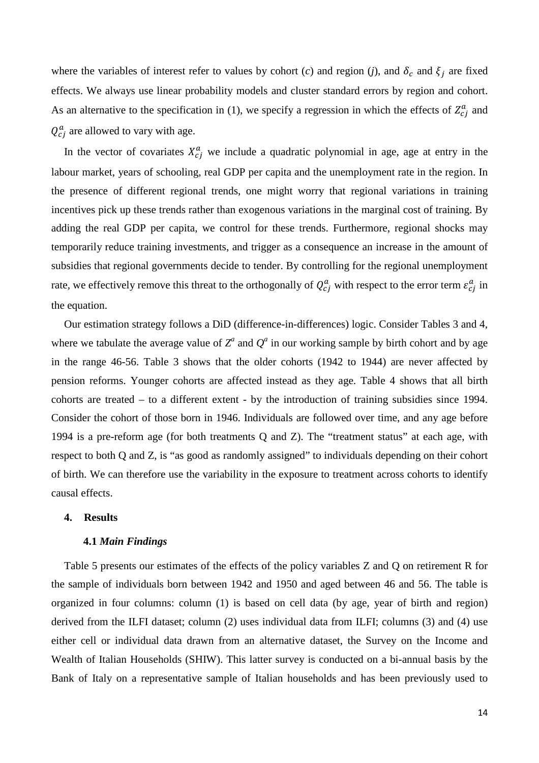where the variables of interest refer to values by cohort (*c*) and region (*j*), and  $\delta_c$  and  $\xi_j$  are fixed effects. We always use linear probability models and cluster standard errors by region and cohort. As an alternative to the specification in (1), we specify a regression in which the effects of  $Z_{cj}^{a}$  and  $Q_{cj}^{a}$  are allowed to vary with age.

In the vector of covariates  $X_{cj}^a$  we include a quadratic polynomial in age, age at entry in the labour market, years of schooling, real GDP per capita and the unemployment rate in the region. In the presence of different regional trends, one might worry that regional variations in training incentives pick up these trends rather than exogenous variations in the marginal cost of training. By adding the real GDP per capita, we control for these trends. Furthermore, regional shocks may temporarily reduce training investments, and trigger as a consequence an increase in the amount of subsidies that regional governments decide to tender. By controlling for the regional unemployment rate, we effectively remove this threat to the orthogonally of  $Q_{cj}^a$  with respect to the error term  $\varepsilon_{cj}^a$  in the equation.

Our estimation strategy follows a DiD (difference-in-differences) logic. Consider Tables 3 and 4, where we tabulate the average value of  $Z^a$  and  $Q^a$  in our working sample by birth cohort and by age in the range 46-56. Table 3 shows that the older cohorts (1942 to 1944) are never affected by pension reforms. Younger cohorts are affected instead as they age. Table 4 shows that all birth cohorts are treated – to a different extent - by the introduction of training subsidies since 1994. Consider the cohort of those born in 1946. Individuals are followed over time, and any age before 1994 is a pre-reform age (for both treatments Q and Z). The "treatment status" at each age, with respect to both Q and Z, is "as good as randomly assigned" to individuals depending on their cohort of birth. We can therefore use the variability in the exposure to treatment across cohorts to identify causal effects.

#### **4. Results**

#### **4.1** *Main Findings*

Table 5 presents our estimates of the effects of the policy variables Z and Q on retirement R for the sample of individuals born between 1942 and 1950 and aged between 46 and 56. The table is organized in four columns: column (1) is based on cell data (by age, year of birth and region) derived from the ILFI dataset; column (2) uses individual data from ILFI; columns (3) and (4) use either cell or individual data drawn from an alternative dataset, the Survey on the Income and Wealth of Italian Households (SHIW). This latter survey is conducted on a bi-annual basis by the Bank of Italy on a representative sample of Italian households and has been previously used to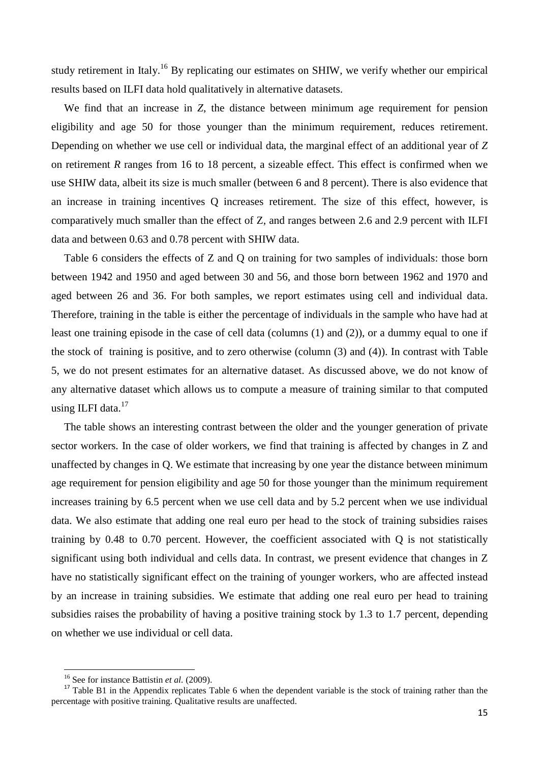study retirement in Italy.<sup>16</sup> By replicating our estimates on SHIW, we verify whether our empirical results based on ILFI data hold qualitatively in alternative datasets.

We find that an increase in *Z*, the distance between minimum age requirement for pension eligibility and age 50 for those younger than the minimum requirement, reduces retirement. Depending on whether we use cell or individual data, the marginal effect of an additional year of *Z* on retirement *R* ranges from 16 to 18 percent, a sizeable effect. This effect is confirmed when we use SHIW data, albeit its size is much smaller (between 6 and 8 percent). There is also evidence that an increase in training incentives Q increases retirement. The size of this effect, however, is comparatively much smaller than the effect of Z, and ranges between 2.6 and 2.9 percent with ILFI data and between 0.63 and 0.78 percent with SHIW data.

Table 6 considers the effects of Z and Q on training for two samples of individuals: those born between 1942 and 1950 and aged between 30 and 56, and those born between 1962 and 1970 and aged between 26 and 36. For both samples, we report estimates using cell and individual data. Therefore, training in the table is either the percentage of individuals in the sample who have had at least one training episode in the case of cell data (columns (1) and (2)), or a dummy equal to one if the stock of training is positive, and to zero otherwise (column (3) and (4)). In contrast with Table 5, we do not present estimates for an alternative dataset. As discussed above, we do not know of any alternative dataset which allows us to compute a measure of training similar to that computed using ILFI data.<sup>17</sup>

The table shows an interesting contrast between the older and the younger generation of private sector workers. In the case of older workers, we find that training is affected by changes in Z and unaffected by changes in Q. We estimate that increasing by one year the distance between minimum age requirement for pension eligibility and age 50 for those younger than the minimum requirement increases training by 6.5 percent when we use cell data and by 5.2 percent when we use individual data. We also estimate that adding one real euro per head to the stock of training subsidies raises training by 0.48 to 0.70 percent. However, the coefficient associated with Q is not statistically significant using both individual and cells data. In contrast, we present evidence that changes in Z have no statistically significant effect on the training of younger workers, who are affected instead by an increase in training subsidies. We estimate that adding one real euro per head to training subsidies raises the probability of having a positive training stock by 1.3 to 1.7 percent, depending on whether we use individual or cell data.

 $\overline{a}$ 

<sup>16</sup> See for instance Battistin *et al.* (2009).

<sup>&</sup>lt;sup>17</sup> Table B1 in the Appendix replicates Table 6 when the dependent variable is the stock of training rather than the percentage with positive training. Qualitative results are unaffected.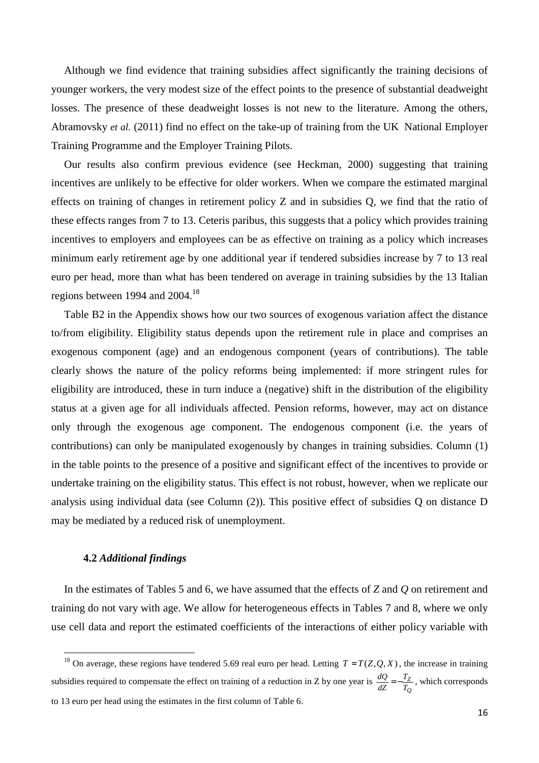Although we find evidence that training subsidies affect significantly the training decisions of younger workers, the very modest size of the effect points to the presence of substantial deadweight losses. The presence of these deadweight losses is not new to the literature. Among the others, Abramovsky *et al.* (2011) find no effect on the take-up of training from the UK National Employer Training Programme and the Employer Training Pilots.

Our results also confirm previous evidence (see Heckman, 2000) suggesting that training incentives are unlikely to be effective for older workers. When we compare the estimated marginal effects on training of changes in retirement policy Z and in subsidies Q, we find that the ratio of these effects ranges from 7 to 13. Ceteris paribus, this suggests that a policy which provides training incentives to employers and employees can be as effective on training as a policy which increases minimum early retirement age by one additional year if tendered subsidies increase by 7 to 13 real euro per head, more than what has been tendered on average in training subsidies by the 13 Italian regions between 1994 and  $2004$ .<sup>18</sup>

Table B2 in the Appendix shows how our two sources of exogenous variation affect the distance to/from eligibility. Eligibility status depends upon the retirement rule in place and comprises an exogenous component (age) and an endogenous component (years of contributions). The table clearly shows the nature of the policy reforms being implemented: if more stringent rules for eligibility are introduced, these in turn induce a (negative) shift in the distribution of the eligibility status at a given age for all individuals affected. Pension reforms, however, may act on distance only through the exogenous age component. The endogenous component (i.e. the years of contributions) can only be manipulated exogenously by changes in training subsidies. Column (1) in the table points to the presence of a positive and significant effect of the incentives to provide or undertake training on the eligibility status. This effect is not robust, however, when we replicate our analysis using individual data (see Column (2)). This positive effect of subsidies Q on distance D may be mediated by a reduced risk of unemployment.

#### **4.2** *Additional findings*

 $\overline{a}$ 

In the estimates of Tables 5 and 6, we have assumed that the effects of *Z* and *Q* on retirement and training do not vary with age. We allow for heterogeneous effects in Tables 7 and 8, where we only use cell data and report the estimated coefficients of the interactions of either policy variable with

<sup>&</sup>lt;sup>18</sup> On average, these regions have tendered 5.69 real euro per head. Letting  $T = T(Z, Q, X)$ , the increase in training subsidies required to compensate the effect on training of a reduction in Z by one year is *Q Z T T dZ*  $\frac{dQ}{d\Omega} = -\frac{T_Z}{T}$ , which corresponds to 13 euro per head using the estimates in the first column of Table 6.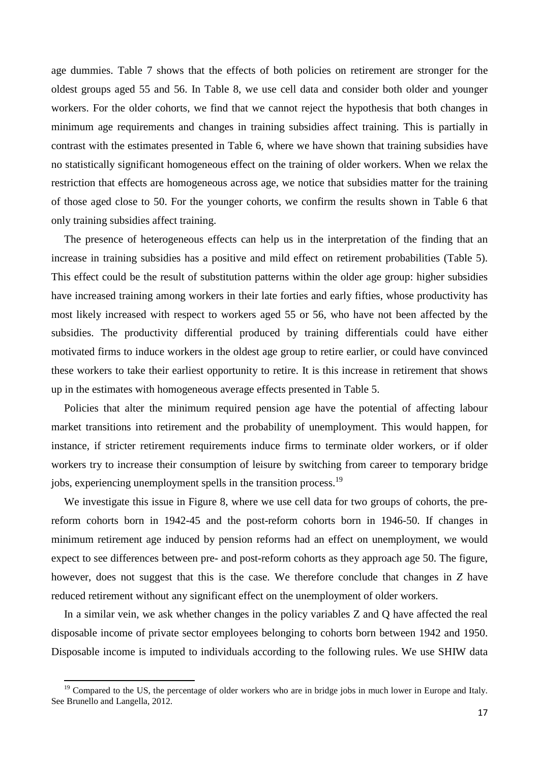age dummies. Table 7 shows that the effects of both policies on retirement are stronger for the oldest groups aged 55 and 56. In Table 8, we use cell data and consider both older and younger workers. For the older cohorts, we find that we cannot reject the hypothesis that both changes in minimum age requirements and changes in training subsidies affect training. This is partially in contrast with the estimates presented in Table 6, where we have shown that training subsidies have no statistically significant homogeneous effect on the training of older workers. When we relax the restriction that effects are homogeneous across age, we notice that subsidies matter for the training of those aged close to 50. For the younger cohorts, we confirm the results shown in Table 6 that only training subsidies affect training.

The presence of heterogeneous effects can help us in the interpretation of the finding that an increase in training subsidies has a positive and mild effect on retirement probabilities (Table 5). This effect could be the result of substitution patterns within the older age group: higher subsidies have increased training among workers in their late forties and early fifties, whose productivity has most likely increased with respect to workers aged 55 or 56, who have not been affected by the subsidies. The productivity differential produced by training differentials could have either motivated firms to induce workers in the oldest age group to retire earlier, or could have convinced these workers to take their earliest opportunity to retire. It is this increase in retirement that shows up in the estimates with homogeneous average effects presented in Table 5.

Policies that alter the minimum required pension age have the potential of affecting labour market transitions into retirement and the probability of unemployment. This would happen, for instance, if stricter retirement requirements induce firms to terminate older workers, or if older workers try to increase their consumption of leisure by switching from career to temporary bridge jobs, experiencing unemployment spells in the transition process.<sup>19</sup>

We investigate this issue in Figure 8, where we use cell data for two groups of cohorts, the prereform cohorts born in 1942-45 and the post-reform cohorts born in 1946-50. If changes in minimum retirement age induced by pension reforms had an effect on unemployment, we would expect to see differences between pre- and post-reform cohorts as they approach age 50. The figure, however, does not suggest that this is the case. We therefore conclude that changes in *Z* have reduced retirement without any significant effect on the unemployment of older workers.

In a similar vein, we ask whether changes in the policy variables Z and Q have affected the real disposable income of private sector employees belonging to cohorts born between 1942 and 1950. Disposable income is imputed to individuals according to the following rules. We use SHIW data

l

<sup>&</sup>lt;sup>19</sup> Compared to the US, the percentage of older workers who are in bridge jobs in much lower in Europe and Italy. See Brunello and Langella, 2012.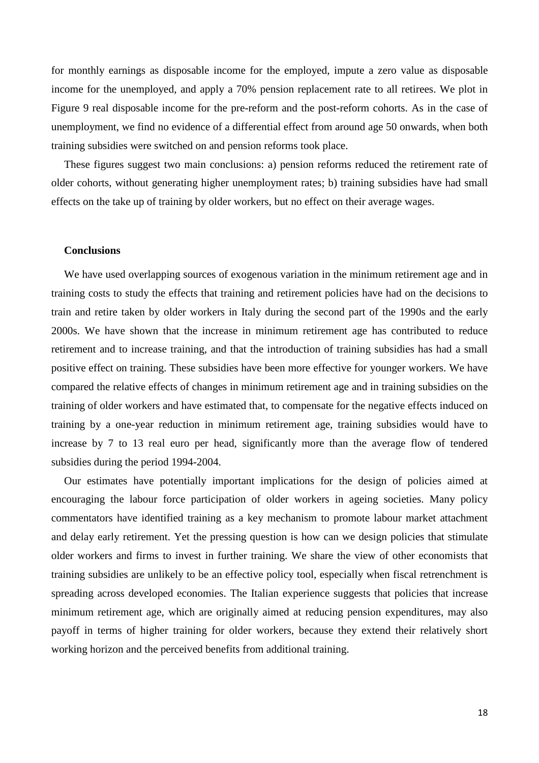for monthly earnings as disposable income for the employed, impute a zero value as disposable income for the unemployed, and apply a 70% pension replacement rate to all retirees. We plot in Figure 9 real disposable income for the pre-reform and the post-reform cohorts. As in the case of unemployment, we find no evidence of a differential effect from around age 50 onwards, when both training subsidies were switched on and pension reforms took place.

These figures suggest two main conclusions: a) pension reforms reduced the retirement rate of older cohorts, without generating higher unemployment rates; b) training subsidies have had small effects on the take up of training by older workers, but no effect on their average wages.

### **Conclusions**

We have used overlapping sources of exogenous variation in the minimum retirement age and in training costs to study the effects that training and retirement policies have had on the decisions to train and retire taken by older workers in Italy during the second part of the 1990s and the early 2000s. We have shown that the increase in minimum retirement age has contributed to reduce retirement and to increase training, and that the introduction of training subsidies has had a small positive effect on training. These subsidies have been more effective for younger workers. We have compared the relative effects of changes in minimum retirement age and in training subsidies on the training of older workers and have estimated that, to compensate for the negative effects induced on training by a one-year reduction in minimum retirement age, training subsidies would have to increase by 7 to 13 real euro per head, significantly more than the average flow of tendered subsidies during the period 1994-2004.

Our estimates have potentially important implications for the design of policies aimed at encouraging the labour force participation of older workers in ageing societies. Many policy commentators have identified training as a key mechanism to promote labour market attachment and delay early retirement. Yet the pressing question is how can we design policies that stimulate older workers and firms to invest in further training. We share the view of other economists that training subsidies are unlikely to be an effective policy tool, especially when fiscal retrenchment is spreading across developed economies. The Italian experience suggests that policies that increase minimum retirement age, which are originally aimed at reducing pension expenditures, may also payoff in terms of higher training for older workers, because they extend their relatively short working horizon and the perceived benefits from additional training.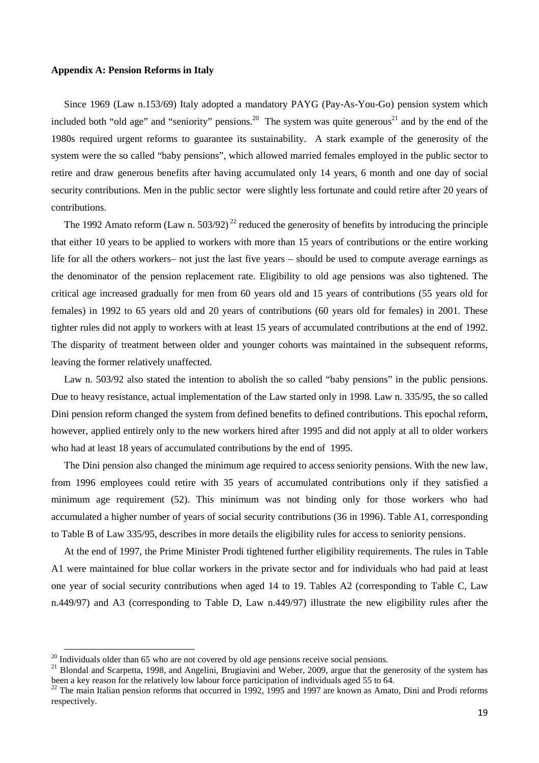#### **Appendix A: Pension Reforms in Italy**

Since 1969 (Law n.153/69) Italy adopted a mandatory PAYG (Pay-As-You-Go) pension system which included both "old age" and "seniority" pensions.<sup>20</sup> The system was quite generous<sup>21</sup> and by the end of the 1980s required urgent reforms to guarantee its sustainability. A stark example of the generosity of the system were the so called "baby pensions", which allowed married females employed in the public sector to retire and draw generous benefits after having accumulated only 14 years, 6 month and one day of social security contributions. Men in the public sector were slightly less fortunate and could retire after 20 years of contributions.

The 1992 Amato reform (Law n. 503/92)<sup>22</sup> reduced the generosity of benefits by introducing the principle that either 10 years to be applied to workers with more than 15 years of contributions or the entire working life for all the others workers– not just the last five years – should be used to compute average earnings as the denominator of the pension replacement rate. Eligibility to old age pensions was also tightened. The critical age increased gradually for men from 60 years old and 15 years of contributions (55 years old for females) in 1992 to 65 years old and 20 years of contributions (60 years old for females) in 2001. These tighter rules did not apply to workers with at least 15 years of accumulated contributions at the end of 1992. The disparity of treatment between older and younger cohorts was maintained in the subsequent reforms, leaving the former relatively unaffected.

Law n. 503/92 also stated the intention to abolish the so called "baby pensions" in the public pensions. Due to heavy resistance, actual implementation of the Law started only in 1998*.* Law n. 335/95, the so called Dini pension reform changed the system from defined benefits to defined contributions. This epochal reform, however, applied entirely only to the new workers hired after 1995 and did not apply at all to older workers who had at least 18 years of accumulated contributions by the end of 1995.

The Dini pension also changed the minimum age required to access seniority pensions. With the new law, from 1996 employees could retire with 35 years of accumulated contributions only if they satisfied a minimum age requirement (52). This minimum was not binding only for those workers who had accumulated a higher number of years of social security contributions (36 in 1996). Table A1, corresponding to Table B of Law 335/95, describes in more details the eligibility rules for access to seniority pensions.

At the end of 1997, the Prime Minister Prodi tightened further eligibility requirements. The rules in Table A1 were maintained for blue collar workers in the private sector and for individuals who had paid at least one year of social security contributions when aged 14 to 19. Tables A2 (corresponding to Table C, Law n.449/97) and A3 (corresponding to Table D, Law n.449/97) illustrate the new eligibility rules after the

l

 $20$  Individuals older than 65 who are not covered by old age pensions receive social pensions.

<sup>&</sup>lt;sup>21</sup> Blondal and Scarpetta, 1998, and Angelini, Brugiavini and Weber, 2009, argue that the generosity of the system has been a key reason for the relatively low labour force participation of individuals aged 55 to 64.

 $^{22}$  The main Italian pension reforms that occurred in 1992, 1995 and 1997 are known as Amato, Dini and Prodi reforms respectively.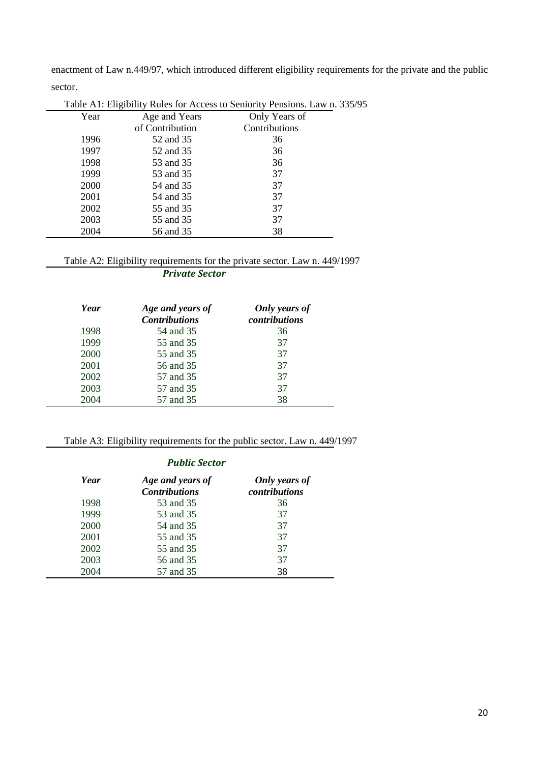enactment of Law n.449/97, which introduced different eligibility requirements for the private and the public sector.

|      | Table A1: Eligibility Rules for Access to Seniority Pensions. Law n. 335/95 |               |  |  |  |  |
|------|-----------------------------------------------------------------------------|---------------|--|--|--|--|
| Year | Age and Years                                                               | Only Years of |  |  |  |  |
|      | of Contribution                                                             | Contributions |  |  |  |  |
| 1996 | 52 and 35                                                                   | 36            |  |  |  |  |
| 1997 | 52 and 35                                                                   | 36            |  |  |  |  |
| 1998 | 53 and 35                                                                   | 36            |  |  |  |  |
| 1999 | 53 and 35                                                                   | 37            |  |  |  |  |
| 2000 | 54 and 35                                                                   | 37            |  |  |  |  |
| 2001 | 54 and 35                                                                   | 37            |  |  |  |  |
| 2002 | 55 and 35                                                                   | 37            |  |  |  |  |
| 2003 | 55 and 35                                                                   | 37            |  |  |  |  |
| 2004 | 56 and 35                                                                   | 38            |  |  |  |  |

## Table A2: Eligibility requirements for the private sector. Law n. 449/1997

*Private Sector* 

| Year | Age and years of<br><b>Contributions</b> | Only years of<br>contributions |
|------|------------------------------------------|--------------------------------|
| 1998 | 54 and 35                                | 36                             |
| 1999 | 55 and 35                                | 37                             |
| 2000 | 55 and 35                                | 37                             |
| 2001 | 56 and 35                                | 37                             |
| 2002 | 57 and 35                                | 37                             |
| 2003 | 57 and 35                                | 37                             |
| 2004 | 57 and 35                                | 38                             |

 $\overline{\phantom{a}}$ 

# Table A3: Eligibility requirements for the public sector. Law n. 449/1997

#### *Public Sector*

| Year | Age and years of<br><b>Contributions</b> | Only years of<br>contributions |
|------|------------------------------------------|--------------------------------|
| 1998 | 53 and 35                                | 36                             |
| 1999 | 53 and 35                                | 37                             |
| 2000 | 54 and 35                                | 37                             |
| 2001 | 55 and 35                                | 37                             |
| 2002 | 55 and 35                                | 37                             |
| 2003 | 56 and 35                                | 37                             |
| 2004 | 57 and 35                                | 38                             |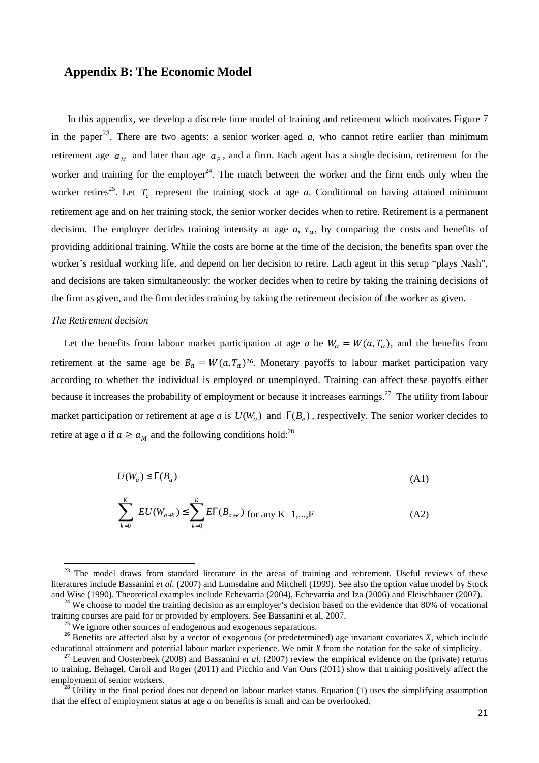### **Appendix B: The Economic Model**

In this appendix, we develop a discrete time model of training and retirement which motivates Figure 7 in the paper<sup>23</sup>. There are two agents: a senior worker aged  $a$ , who cannot retire earlier than minimum retirement age  $a_M$  and later than age  $a_F$ , and a firm. Each agent has a single decision, retirement for the worker and training for the employer<sup>24</sup>. The match between the worker and the firm ends only when the worker retires<sup>25</sup>. Let  $T_a$  represent the training stock at age *a*. Conditional on having attained minimum retirement age and on her training stock, the senior worker decides when to retire. Retirement is a permanent decision. The employer decides training intensity at age  $a$ ,  $\tau_a$ , by comparing the costs and benefits of providing additional training. While the costs are borne at the time of the decision, the benefits span over the worker's residual working life, and depend on her decision to retire. Each agent in this setup "plays Nash", and decisions are taken simultaneously: the worker decides when to retire by taking the training decisions of the firm as given, and the firm decides training by taking the retirement decision of the worker as given.

#### *The Retirement decision*

 $\overline{a}$ 

Let the benefits from labour market participation at age *a* be  $W_a = W(a, T_a)$ , and the benefits from retirement at the same age be  $B_a = W(a, T_a)^{26}$ . Monetary payoffs to labour market participation vary according to whether the individual is employed or unemployed. Training can affect these payoffs either because it increases the probability of employment or because it increases earnings.<sup>27</sup> The utility from labour market participation or retirement at age *a* is  $U(W_a)$  and  $\Gamma(B_a)$ , respectively. The senior worker decides to retire at age *a* if  $a \ge a_M$  and the following conditions hold:<sup>28</sup>

$$
U(W_a) \le \Gamma(B_a) \tag{A1}
$$

$$
\sum_{k=0}^{K} EU(W_{a+k}) \le \sum_{k=0}^{K} E\Gamma(B_{a+k}) \text{ for any K=1,...,F}
$$
 (A2)

<sup>&</sup>lt;sup>23</sup> The model draws from standard literature in the areas of training and retirement. Useful reviews of these literatures include Bassanini *et al.* (2007) and Lumsdaine and Mitchell (1999). See also the option value model by Stock and Wise (1990). Theoretical examples include Echevarria (2004), Echevarria and Iza (2006) and Fleischhauer (2007).

<sup>&</sup>lt;sup>24</sup> We choose to model the training decision as an employer's decision based on the evidence that 80% of vocational training courses are paid for or provided by employers. See Bassanini et al, 2007.

 $^{25}$  We ignore other sources of endogenous and exogenous separations.

 $26$  Benefits are affected also by a vector of exogenous (or predetermined) age invariant covariates *X*, which include educational attainment and potential labour market experience. We omit *X* from the notation for the sake of simplicity.

 $^{27}$  Leuven and Oosterbeek (2008) and Bassanini *et al.* (2007) review the empirical evidence on the (private) returns to training. Behagel, Caroli and Roger (2011) and Picchio and Van Ours (2011) show that training positively affect the employment of senior workers.

<sup>&</sup>lt;sup>28</sup> Utility in the final period does not depend on labour market status. Equation (1) uses the simplifying assumption that the effect of employment status at age *a* on benefits is small and can be overlooked.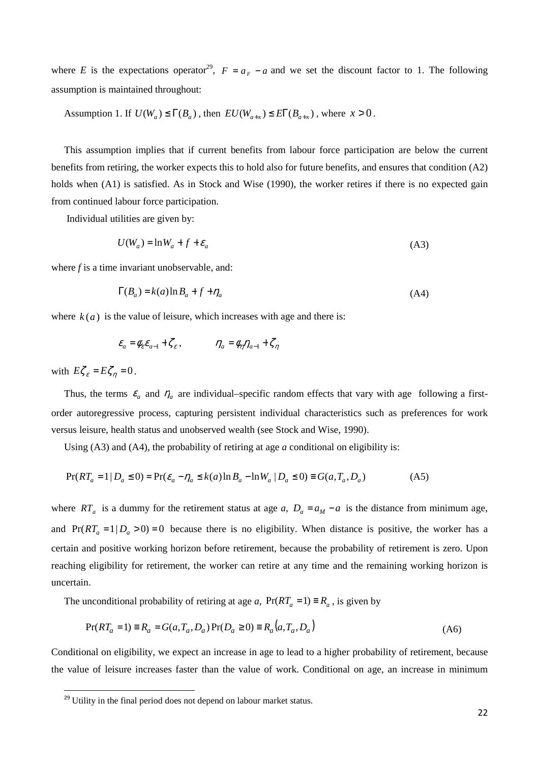where *E* is the expectations operator<sup>29</sup>,  $F = a_F - a$  and we set the discount factor to 1. The following assumption is maintained throughout:

Assumption 1. If  $U(W_a) \leq \Gamma(B_a)$ , then  $EU(W_{a+x}) \leq ET(B_{a+x})$ , where  $x > 0$ .

This assumption implies that if current benefits from labour force participation are below the current benefits from retiring, the worker expects this to hold also for future benefits, and ensures that condition (A2) holds when (A1) is satisfied. As in Stock and Wise (1990), the worker retires if there is no expected gain from continued labour force participation.

Individual utilities are given by:

$$
U(W_a) = \ln W_a + f + \varepsilon_a \tag{A3}
$$

where *f* is a time invariant unobservable, and:

$$
\Gamma(B_a) = k(a)\ln B_a + f + \eta_a \tag{A4}
$$

where  $k(a)$  is the value of leisure, which increases with age and there is:

$$
\varepsilon_a = \phi_{\varepsilon} \varepsilon_{a-1} + \zeta_{\varepsilon} , \qquad \eta_a = \phi_{\eta} \eta_{a-1} + \zeta_{\eta}
$$

with  $E \zeta_{\varepsilon} = E \zeta_{\eta} = 0$ .

l

Thus, the terms  $\varepsilon_a$  and  $\eta_a$  are individual–specific random effects that vary with age following a firstorder autoregressive process, capturing persistent individual characteristics such as preferences for work versus leisure, health status and unobserved wealth (see Stock and Wise, 1990).

Using (A3) and (A4), the probability of retiring at age *a* conditional on eligibility is:

$$
Pr(RT_a = 1 | D_a \le 0) = Pr(\varepsilon_a - \eta_a \le k(a) \ln B_a - \ln W_a | D_a \le 0) \equiv G(a, T_a, D_a)
$$
(A5)

where  $RT_a$  is a dummy for the retirement status at age *a*,  $D_a = a_M - a$  is the distance from minimum age, and  $Pr(RT_a = 1 | D_a > 0) = 0$  because there is no eligibility. When distance is positive, the worker has a certain and positive working horizon before retirement, because the probability of retirement is zero. Upon reaching eligibility for retirement, the worker can retire at any time and the remaining working horizon is uncertain.

The unconditional probability of retiring at age *a*,  $Pr(RT_a = 1) \equiv R_a$ , is given by

$$
Pr(RT_a = 1) \equiv R_a = G(a, T_a, D_a) Pr(D_a \ge 0) \equiv R_a(a, T_a, D_a)
$$
\n(A6)

Conditional on eligibility, we expect an increase in age to lead to a higher probability of retirement, because the value of leisure increases faster than the value of work. Conditional on age, an increase in minimum

 $29$  Utility in the final period does not depend on labour market status.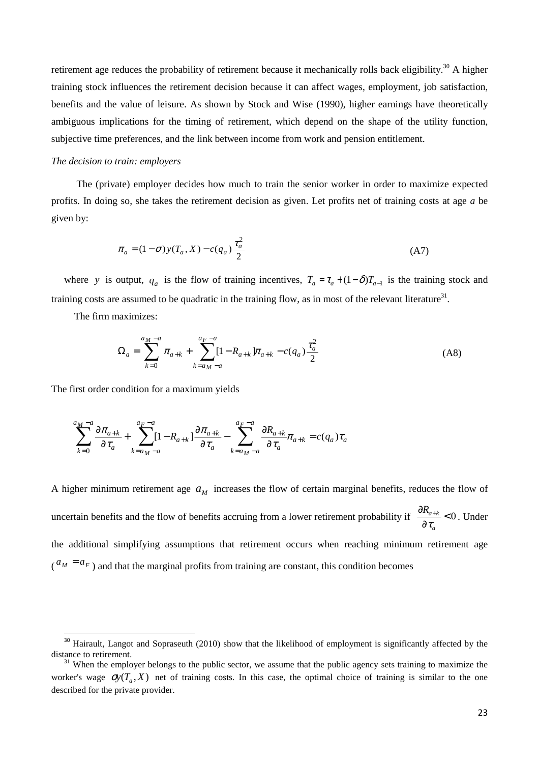retirement age reduces the probability of retirement because it mechanically rolls back eligibility.<sup>30</sup> A higher training stock influences the retirement decision because it can affect wages, employment, job satisfaction, benefits and the value of leisure. As shown by Stock and Wise (1990), higher earnings have theoretically ambiguous implications for the timing of retirement, which depend on the shape of the utility function, subjective time preferences, and the link between income from work and pension entitlement.

#### *The decision to train: employers*

 The (private) employer decides how much to train the senior worker in order to maximize expected profits. In doing so, she takes the retirement decision as given. Let profits net of training costs at age *a* be given by:

$$
\pi_a = (1 - \sigma) y(T_a, X) - c(q_a) \frac{\tau_a^2}{2}
$$
\n(A7)

where *y* is output,  $q_a$  is the flow of training incentives,  $T_a = \tau_a + (1 - \delta)T_{a-1}$  is the training stock and training costs are assumed to be quadratic in the training flow, as in most of the relevant literature<sup>31</sup>.

The firm maximizes:

 $\overline{a}$ 

$$
\Omega_a = \sum_{k=0}^{a_M - a} \pi_{a+k} + \sum_{k=a_M - a}^{a_F - a} [1 - R_{a+k}] \pi_{a+k} - c(q_a) \frac{\tau_a^2}{2}
$$
\n(A8)

The first order condition for a maximum yields

$$
\sum_{k=0}^{a_M-a} \frac{\partial \pi_{a+k}}{\partial \tau_a} + \sum_{k=a_M-a}^{a_F-a} [1 - R_{a+k}] \frac{\partial \pi_{a+k}}{\partial \tau_a} - \sum_{k=a_M-a}^{a_F-a} \frac{\partial R_{a+k}}{\partial \tau_a} \pi_{a+k} = c(q_a) \tau_a
$$

A higher minimum retirement age  $a_M$  increases the flow of certain marginal benefits, reduces the flow of uncertain benefits and the flow of benefits accruing from a lower retirement probability if  $\frac{dN_{a+k}}{2}<0$ ∂  $\partial R_{a+}$ *a*  $R_{a+k}$  $\frac{a+k}{\tau_a}$  < 0. Under the additional simplifying assumptions that retirement occurs when reaching minimum retirement age  $\binom{a_M = a_F}{}$  and that the marginal profits from training are constant, this condition becomes

<sup>&</sup>lt;sup>30</sup> Hairault, Langot and Sopraseuth (2010) show that the likelihood of employment is significantly affected by the distance to retirement.

 $31$  When the employer belongs to the public sector, we assume that the public agency sets training to maximize the worker's wage  $\mathcal{O}(T_a, X)$  net of training costs. In this case, the optimal choice of training is similar to the one described for the private provider.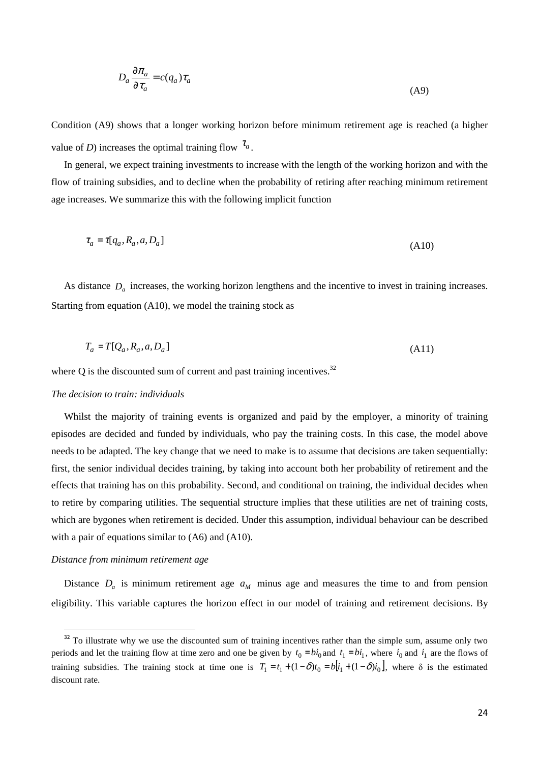$$
D_a \frac{\partial \pi_a}{\partial \tau_a} = c(q_a) \tau_a \tag{A9}
$$

Condition (A9) shows that a longer working horizon before minimum retirement age is reached (a higher value of *D*) increases the optimal training flow  $\tau_a$ .

In general, we expect training investments to increase with the length of the working horizon and with the flow of training subsidies, and to decline when the probability of retiring after reaching minimum retirement age increases. We summarize this with the following implicit function

$$
\tau_a = \tau[q_a, R_a, a, D_a]
$$
\n(A10)

As distance  $D_a$  increases, the working horizon lengthens and the incentive to invest in training increases. Starting from equation (A10), we model the training stock as

$$
T_a = T[Q_a, R_a, a, D_a]
$$
\n
$$
(A11)
$$

where Q is the discounted sum of current and past training incentives.<sup>32</sup>

#### *The decision to train: individuals*

Whilst the majority of training events is organized and paid by the employer, a minority of training episodes are decided and funded by individuals, who pay the training costs. In this case, the model above needs to be adapted. The key change that we need to make is to assume that decisions are taken sequentially: first, the senior individual decides training, by taking into account both her probability of retirement and the effects that training has on this probability. Second, and conditional on training, the individual decides when to retire by comparing utilities. The sequential structure implies that these utilities are net of training costs, which are bygones when retirement is decided. Under this assumption, individual behaviour can be described with a pair of equations similar to (A6) and (A10).

#### *Distance from minimum retirement age*

 $\overline{a}$ 

Distance  $D_a$  is minimum retirement age  $a_M$  minus age and measures the time to and from pension eligibility. This variable captures the horizon effect in our model of training and retirement decisions. By

<sup>&</sup>lt;sup>32</sup> To illustrate why we use the discounted sum of training incentives rather than the simple sum, assume only two periods and let the training flow at time zero and one be given by  $t_0 = bi_0$  and  $t_1 = bi_1$ , where  $i_0$  and  $i_1$  are the flows of training subsidies. The training stock at time one is  $T_1 = t_1 + (1 - \delta)t_0 = b[i_1 + (1 - \delta)i_0]$ , where  $\delta$  is the estimated discount rate.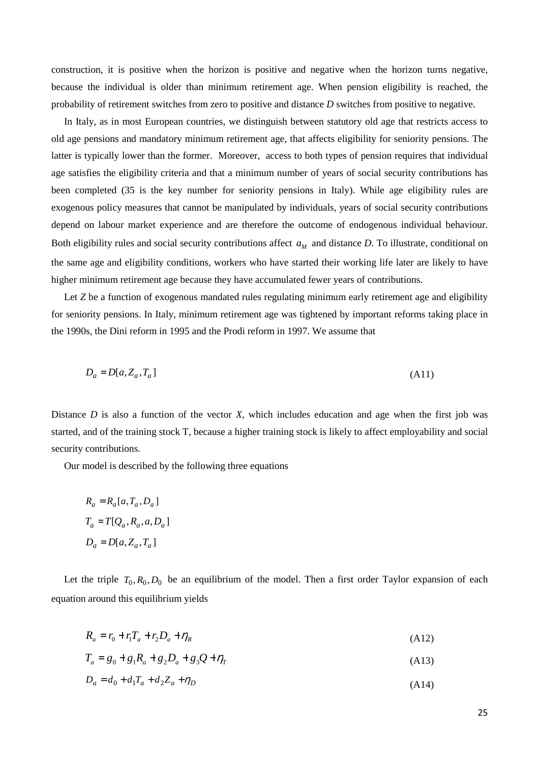construction, it is positive when the horizon is positive and negative when the horizon turns negative, because the individual is older than minimum retirement age. When pension eligibility is reached, the probability of retirement switches from zero to positive and distance *D* switches from positive to negative.

In Italy, as in most European countries, we distinguish between statutory old age that restricts access to old age pensions and mandatory minimum retirement age, that affects eligibility for seniority pensions. The latter is typically lower than the former. Moreover, access to both types of pension requires that individual age satisfies the eligibility criteria and that a minimum number of years of social security contributions has been completed (35 is the key number for seniority pensions in Italy). While age eligibility rules are exogenous policy measures that cannot be manipulated by individuals, years of social security contributions depend on labour market experience and are therefore the outcome of endogenous individual behaviour. Both eligibility rules and social security contributions affect  $a_M$  and distance *D*. To illustrate, conditional on the same age and eligibility conditions, workers who have started their working life later are likely to have higher minimum retirement age because they have accumulated fewer years of contributions.

Let *Z* be a function of exogenous mandated rules regulating minimum early retirement age and eligibility for seniority pensions. In Italy, minimum retirement age was tightened by important reforms taking place in the 1990s, the Dini reform in 1995 and the Prodi reform in 1997. We assume that

$$
D_a = D[a, Z_a, T_a]
$$
\n<sup>(A11)</sup>

Distance *D* is also a function of the vector *X*, which includes education and age when the first job was started, and of the training stock T, because a higher training stock is likely to affect employability and social security contributions.

Our model is described by the following three equations

$$
R_a = R_a[a, T_a, D_a]
$$
  
\n
$$
T_a = T[Q_a, R_a, a, D_a]
$$
  
\n
$$
D_a = D[a, Z_a, T_a]
$$

Let the triple  $T_0$ ,  $R_0$ ,  $D_0$  be an equilibrium of the model. Then a first order Taylor expansion of each equation around this equilibrium yields

$$
R_a = r_0 + r_1 T_a + r_2 D_a + \eta_R \tag{A12}
$$

$$
T_a = g_0 + g_1 R_a + g_2 D_a + g_3 Q + \eta_T \tag{A13}
$$

$$
D_a = d_0 + d_1 T_a + d_2 Z_a + \eta_D \tag{A14}
$$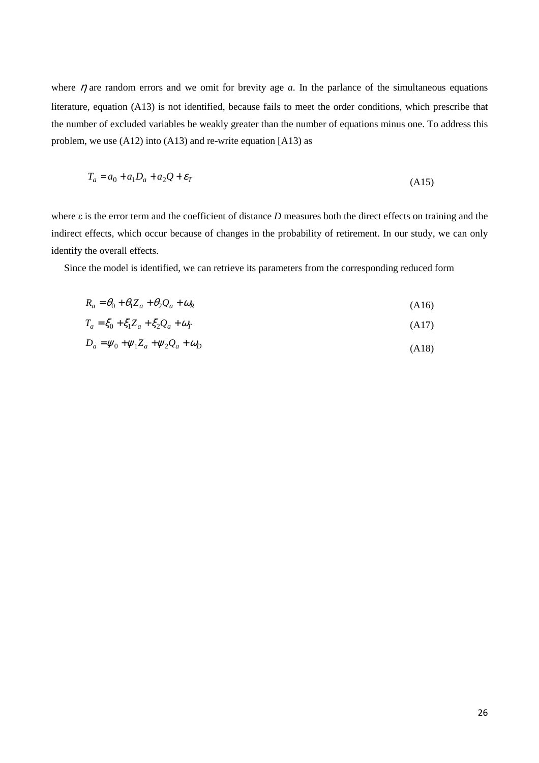where  $\eta$  are random errors and we omit for brevity age  $a$ . In the parlance of the simultaneous equations literature, equation (A13) is not identified, because fails to meet the order conditions, which prescribe that the number of excluded variables be weakly greater than the number of equations minus one. To address this problem, we use (A12) into (A13) and re-write equation [A13) as

$$
T_a = a_0 + a_1 D_a + a_2 Q + \varepsilon_T \tag{A15}
$$

where ε is the error term and the coefficient of distance *D* measures both the direct effects on training and the indirect effects, which occur because of changes in the probability of retirement. In our study, we can only identify the overall effects.

Since the model is identified, we can retrieve its parameters from the corresponding reduced form

$$
R_a = \theta_0 + \theta_1 Z_a + \theta_2 Q_a + \omega_R \tag{A16}
$$

$$
T_a = \xi_0 + \xi_1 Z_a + \xi_2 Q_a + \omega_T \tag{A17}
$$

$$
D_a = \psi_0 + \psi_1 Z_a + \psi_2 Q_a + \omega_D \tag{A18}
$$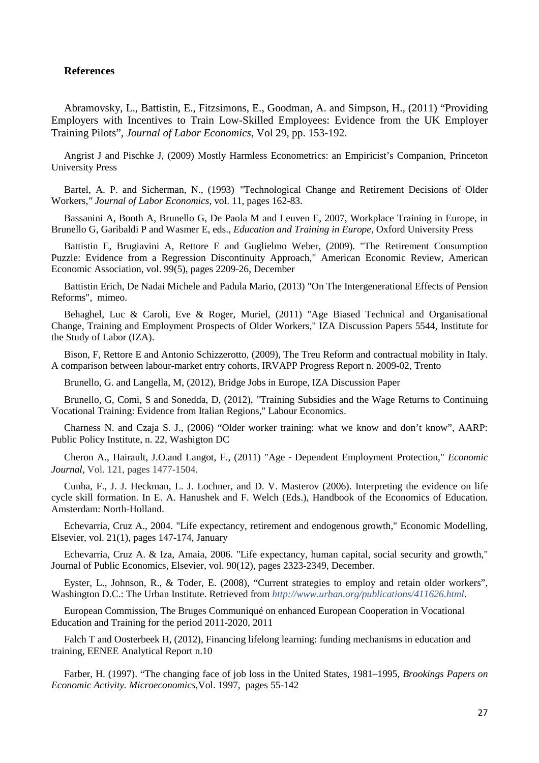#### **References**

Abramovsky, L., Battistin, E., Fitzsimons, E., Goodman, A. and Simpson, H., (2011) "Providing Employers with Incentives to Train Low-Skilled Employees: Evidence from the UK Employer Training Pilots"*, Journal of Labor Economics*, Vol 29, pp. 153-192.

Angrist J and Pischke J, (2009) Mostly Harmless Econometrics: an Empiricist's Companion, Princeton University Press

Bartel, A. P. and Sicherman, N., (1993) "Technological Change and Retirement Decisions of Older Workers*," Journal of Labor Economics*, vol. 11, pages 162-83.

Bassanini A, Booth A, Brunello G, De Paola M and Leuven E, 2007, Workplace Training in Europe, in Brunello G, Garibaldi P and Wasmer E, eds., *Education and Training in Europe*, Oxford University Press

Battistin E, Brugiavini A, Rettore E and Guglielmo Weber, (2009). "The Retirement Consumption Puzzle: Evidence from a Regression Discontinuity Approach," American Economic Review, American Economic Association, vol. 99(5), pages 2209-26, December

Battistin Erich, De Nadai Michele and Padula Mario, (2013) "On The Intergenerational Effects of Pension Reforms", mimeo.

Behaghel, Luc & Caroli, Eve & Roger, Muriel, (2011) "Age Biased Technical and Organisational Change, Training and Employment Prospects of Older Workers," IZA Discussion Papers 5544, Institute for the Study of Labor (IZA).

Bison, F, Rettore E and Antonio Schizzerotto, (2009), The Treu Reform and contractual mobility in Italy. A comparison between labour-market entry cohorts, IRVAPP Progress Report n. 2009-02, Trento

Brunello, G. and Langella, M, (2012), Bridge Jobs in Europe, IZA Discussion Paper

Brunello, G, Comi, S and Sonedda, D, (2012), "Training Subsidies and the Wage Returns to Continuing Vocational Training: Evidence from Italian Regions," Labour Economics.

Charness N. and Czaja S. J., (2006) "Older worker training: what we know and don't know", AARP: Public Policy Institute, n. 22, Washigton DC

Cheron A., Hairault, J.O.and Langot, F., (2011) "Age‐Dependent Employment Protection," *Economic Journal*, Vol. 121, pages 1477-1504.

Cunha, F., J. J. Heckman, L. J. Lochner, and D. V. Masterov (2006). Interpreting the evidence on life cycle skill formation. In E. A. Hanushek and F. Welch (Eds.), Handbook of the Economics of Education. Amsterdam: North-Holland.

Echevarria, Cruz A., 2004. "Life expectancy, retirement and endogenous growth," Economic Modelling, Elsevier, vol. 21(1), pages 147-174, January

Echevarria, Cruz A. & Iza, Amaia, 2006. "Life expectancy, human capital, social security and growth," Journal of Public Economics, Elsevier, vol. 90(12), pages 2323-2349, December.

Eyster, L., Johnson, R., & Toder, E. (2008), "Current strategies to employ and retain older workers", Washington D.C.: The Urban Institute. Retrieved from *http://www.urban.org/publications/411626.html*.

European Commission, The Bruges Communiqué on enhanced European Cooperation in Vocational Education and Training for the period 2011-2020, 2011

Falch T and Oosterbeek H, (2012), Financing lifelong learning: funding mechanisms in education and training, EENEE Analytical Report n.10

Farber, H. (1997). "The changing face of job loss in the United States, 1981–1995, *Brookings Papers on Economic Activity. Microeconomics,*Vol. 1997, pages 55-142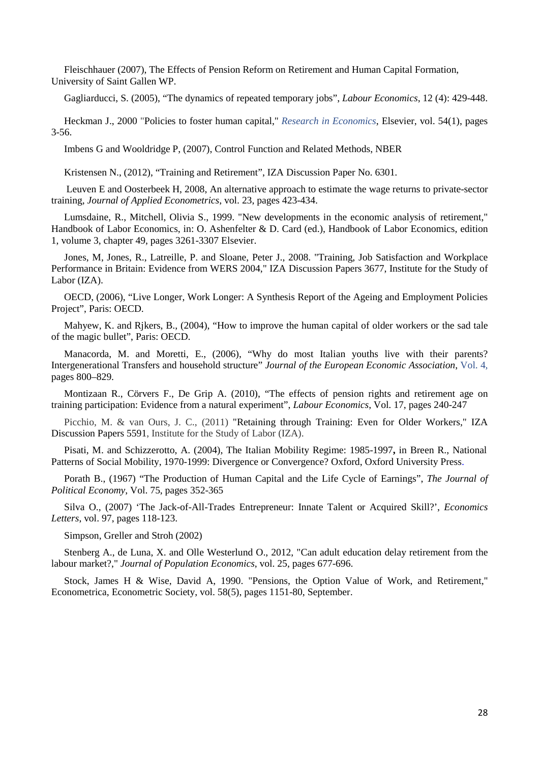Fleischhauer (2007), The Effects of Pension Reform on Retirement and Human Capital Formation, University of Saint Gallen WP.

Gagliarducci, S. (2005), "The dynamics of repeated temporary jobs", *Labour Economics*, 12 (4): 429-448.

Heckman J., 2000 "Policies to foster human capital," *Research in Economics*, Elsevier, vol. 54(1), pages 3-56.

Imbens G and Wooldridge P, (2007), Control Function and Related Methods, NBER

Kristensen N., (2012), "Training and Retirement", IZA Discussion Paper No. 6301.

Leuven E and Oosterbeek H, 2008, An alternative approach to estimate the wage returns to private-sector training, *Journal of Applied Econometrics*, vol. 23, pages 423-434.

Lumsdaine, R., Mitchell, Olivia S., 1999. "New developments in the economic analysis of retirement," Handbook of Labor Economics, in: O. Ashenfelter & D. Card (ed.), Handbook of Labor Economics, edition 1, volume 3, chapter 49, pages 3261-3307 Elsevier.

Jones, M, Jones, R., Latreille, P. and Sloane, Peter J., 2008. "Training, Job Satisfaction and Workplace Performance in Britain: Evidence from WERS 2004," IZA Discussion Papers 3677, Institute for the Study of Labor (IZA).

OECD, (2006), "Live Longer, Work Longer: A Synthesis Report of the Ageing and Employment Policies Project", Paris: OECD.

Mahyew, K. and Rikers, B., (2004), "How to improve the human capital of older workers or the sad tale of the magic bullet", Paris: OECD.

Manacorda, M. and Moretti, E., (2006), "Why do most Italian youths live with their parents? Intergenerational Transfers and household structure" *Journal of the European Economic Association*, Vol. 4, pages 800–829.

Montizaan R., Cörvers F., De Grip A. (2010), "The effects of pension rights and retirement age on training participation: Evidence from a natural experiment", *Labour Economics*, Vol. 17, pages 240-247

Picchio, M. & van Ours, J. C., (2011) "Retaining through Training: Even for Older Workers," IZA Discussion Papers 5591, Institute for the Study of Labor (IZA).

Pisati, M. and Schizzerotto, A. (2004), The Italian Mobility Regime: 1985-1997**,** in Breen R., National Patterns of Social Mobility, 1970-1999: Divergence or Convergence? Oxford, Oxford University Press.

Porath B., (1967) "The Production of Human Capital and the Life Cycle of Earnings", *The Journal of Political Economy*, Vol. 75, pages 352-365

Silva O., (2007) 'The Jack-of-All-Trades Entrepreneur: Innate Talent or Acquired Skill?', *Economics Letters*, vol. 97, pages 118-123.

Simpson, Greller and Stroh (2002)

Stenberg A., de Luna, X. and Olle Westerlund O., 2012, "Can adult education delay retirement from the labour market?," *Journal of Population Economics*, vol. 25, pages 677-696.

Stock, James H & Wise, David A, 1990. "Pensions, the Option Value of Work, and Retirement," Econometrica, Econometric Society, vol. 58(5), pages 1151-80, September.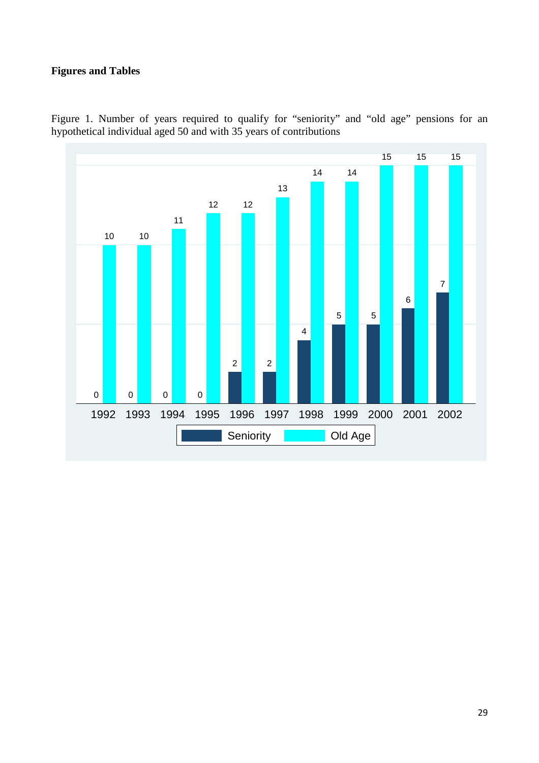# **Figures and Tables**



Figure 1. Number of years required to qualify for "seniority" and "old age" pensions for an hypothetical individual aged 50 and with 35 years of contributions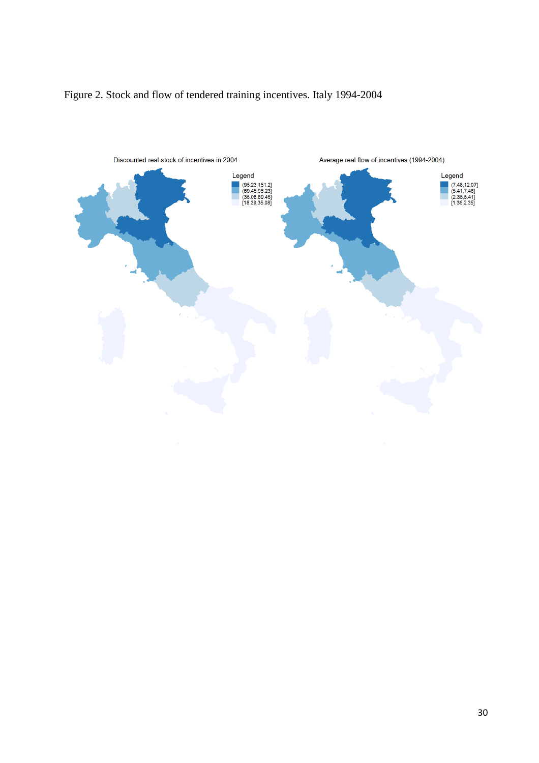

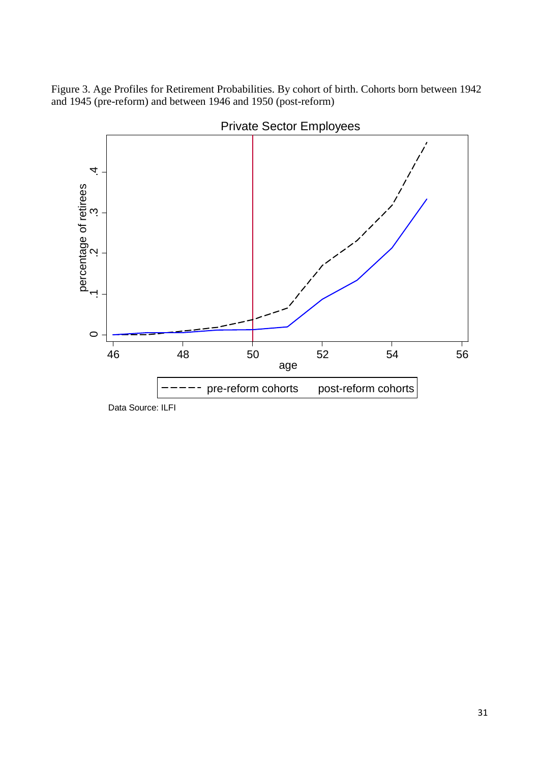Figure 3. Age Profiles for Retirement Probabilities. By cohort of birth. Cohorts born between 1942 and 1945 (pre-reform) and between 1946 and 1950 (post-reform)



Private Sector Employees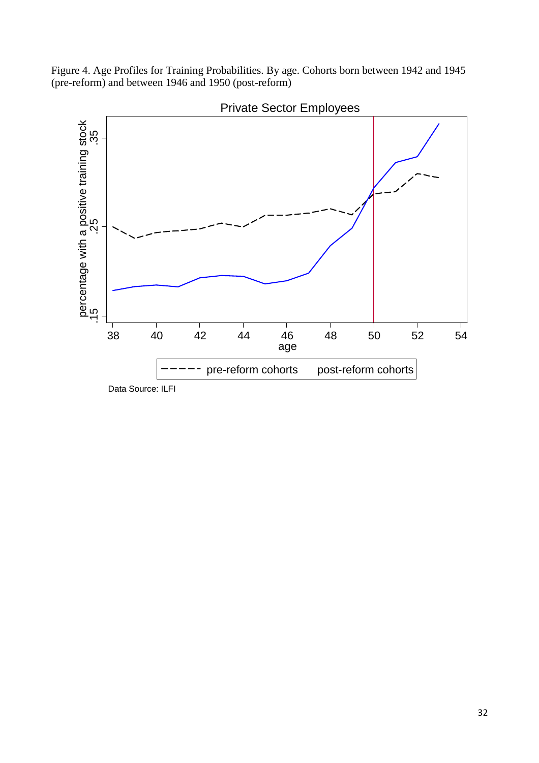Figure 4. Age Profiles for Training Probabilities. By age. Cohorts born between 1942 and 1945 (pre-reform) and between 1946 and 1950 (post-reform)



Private Sector Employees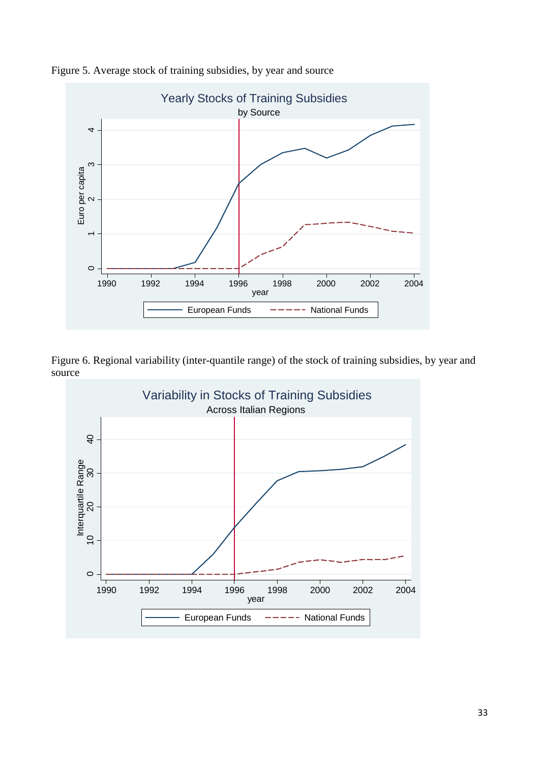

Figure 5. Average stock of training subsidies, by year and source

Figure 6. Regional variability (inter-quantile range) of the stock of training subsidies, by year and source

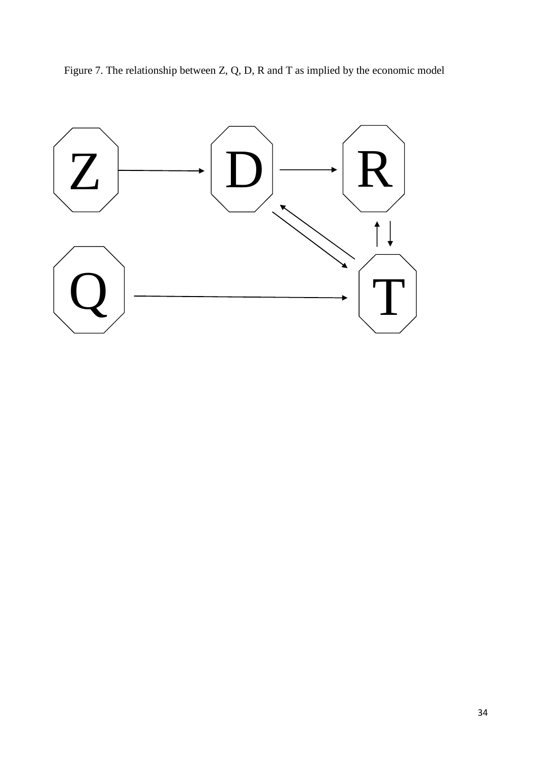

Figure 7. The relationship between Z, Q, D, R and T as implied by the economic model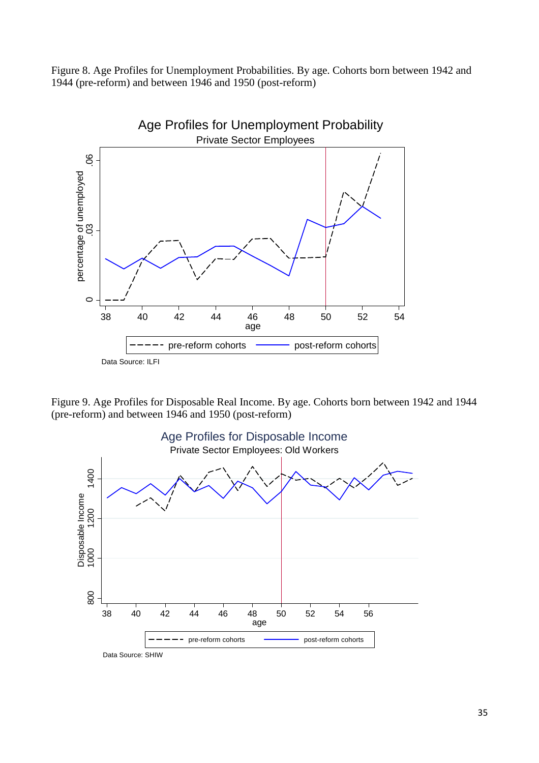Figure 8. Age Profiles for Unemployment Probabilities. By age. Cohorts born between 1942 and 1944 (pre-reform) and between 1946 and 1950 (post-reform)



Figure 9. Age Profiles for Disposable Real Income. By age. Cohorts born between 1942 and 1944 (pre-reform) and between 1946 and 1950 (post-reform)

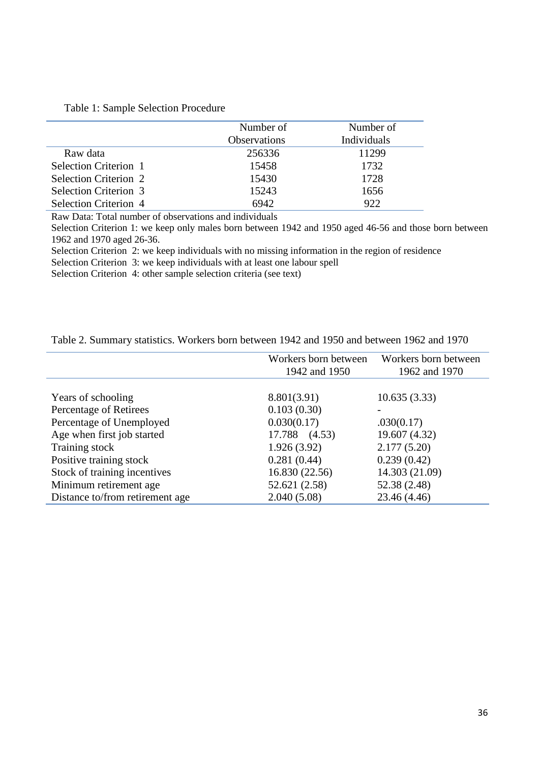|                       | Number of           | Number of   |
|-----------------------|---------------------|-------------|
|                       | <b>Observations</b> | Individuals |
| Raw data              | 256336              | 11299       |
| Selection Criterion 1 | 15458               | 1732        |
| Selection Criterion 2 | 15430               | 1728        |
| Selection Criterion 3 | 15243               | 1656        |
| Selection Criterion 4 | 6942                | 922         |

Raw Data: Total number of observations and individuals

Selection Criterion 1: we keep only males born between 1942 and 1950 aged 46-56 and those born between 1962 and 1970 aged 26-36.

Selection Criterion 2: we keep individuals with no missing information in the region of residence

Selection Criterion 3: we keep individuals with at least one labour spell

Selection Criterion 4: other sample selection criteria (see text)

| Table 2. Summary statistics. Workers born between 1942 and 1950 and between 1962 and 1970 |  |  |  |  |  |
|-------------------------------------------------------------------------------------------|--|--|--|--|--|
|-------------------------------------------------------------------------------------------|--|--|--|--|--|

|                                 | Workers born between<br>1942 and 1950 | Workers born between<br>1962 and 1970 |
|---------------------------------|---------------------------------------|---------------------------------------|
| Years of schooling              | 8.801(3.91)                           | 10.635(3.33)                          |
| Percentage of Retirees          | 0.103(0.30)                           |                                       |
| Percentage of Unemployed        | 0.030(0.17)                           | .030(0.17)                            |
| Age when first job started      | 17.788 (4.53)                         | 19.607 (4.32)                         |
| Training stock                  | 1.926(3.92)                           | 2.177(5.20)                           |
| Positive training stock         | 0.281(0.44)                           | 0.239(0.42)                           |
| Stock of training incentives    | 16.830 (22.56)                        | 14.303 (21.09)                        |
| Minimum retirement age          | 52.621 (2.58)                         | 52.38 (2.48)                          |
| Distance to/from retirement age | 2.040(5.08)                           | 23.46 (4.46)                          |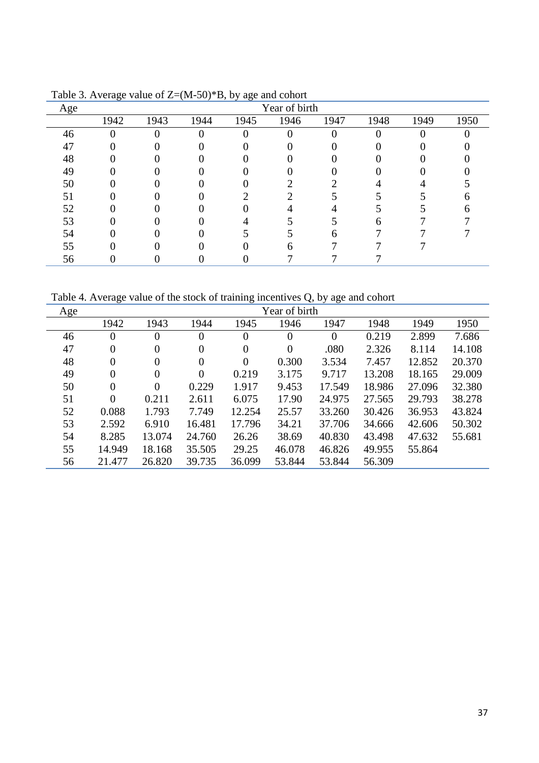|     | ۔ ت  | .        | $  \prime$ | <i>ت</i> ت |               |      |      |      |      |
|-----|------|----------|------------|------------|---------------|------|------|------|------|
| Age |      |          |            |            | Year of birth |      |      |      |      |
|     | 1942 | 1943     | 1944       | 1945       | 1946          | 1947 | 1948 | 1949 | 1950 |
| 46  |      | $\theta$ | 0          |            |               |      |      |      |      |
| 47  |      |          |            |            |               |      |      |      |      |
| 48  |      |          |            |            |               |      |      |      |      |
| 49  |      |          |            |            |               |      |      |      |      |
| 50  |      |          |            |            |               |      |      |      |      |
| 51  |      |          |            |            |               |      |      |      |      |
| 52  |      |          |            |            |               |      |      |      |      |
| 53  |      |          |            |            |               |      |      |      |      |
| 54  |      |          |            |            |               |      |      |      |      |
| 55  |      |          |            |            |               |      |      |      |      |
| 56  |      |          |            |            |               |      |      |      |      |

Table 3. Average value of Z=(M-50)\*B, by age and cohort

Table 4. Average value of the stock of training incentives Q, by age and cohort

| Age |                |                |                  |                | Year of birth  |          |        |        |        |
|-----|----------------|----------------|------------------|----------------|----------------|----------|--------|--------|--------|
|     | 1942           | 1943           | 1944             | 1945           | 1946           | 1947     | 1948   | 1949   | 1950   |
| 46  | $\theta$       | $\theta$       | $\boldsymbol{0}$ | $\theta$       | $\theta$       | $\theta$ | 0.219  | 2.899  | 7.686  |
| 47  | 0              | $\overline{0}$ | $\boldsymbol{0}$ | $\overline{0}$ | $\overline{0}$ | .080     | 2.326  | 8.114  | 14.108 |
| 48  | 0              | $\overline{0}$ | $\boldsymbol{0}$ | $\theta$       | 0.300          | 3.534    | 7.457  | 12.852 | 20.370 |
| 49  | $\overline{0}$ | $\overline{0}$ | $\boldsymbol{0}$ | 0.219          | 3.175          | 9.717    | 13.208 | 18.165 | 29.009 |
| 50  | $\overline{0}$ | $\overline{0}$ | 0.229            | 1.917          | 9.453          | 17.549   | 18.986 | 27.096 | 32.380 |
| 51  | $\theta$       | 0.211          | 2.611            | 6.075          | 17.90          | 24.975   | 27.565 | 29.793 | 38.278 |
| 52  | 0.088          | 1.793          | 7.749            | 12.254         | 25.57          | 33.260   | 30.426 | 36.953 | 43.824 |
| 53  | 2.592          | 6.910          | 16.481           | 17.796         | 34.21          | 37.706   | 34.666 | 42.606 | 50.302 |
| 54  | 8.285          | 13.074         | 24.760           | 26.26          | 38.69          | 40.830   | 43.498 | 47.632 | 55.681 |
| 55  | 14.949         | 18.168         | 35.505           | 29.25          | 46.078         | 46.826   | 49.955 | 55.864 |        |
| 56  | 21.477         | 26.820         | 39.735           | 36.099         | 53.844         | 53.844   | 56.309 |        |        |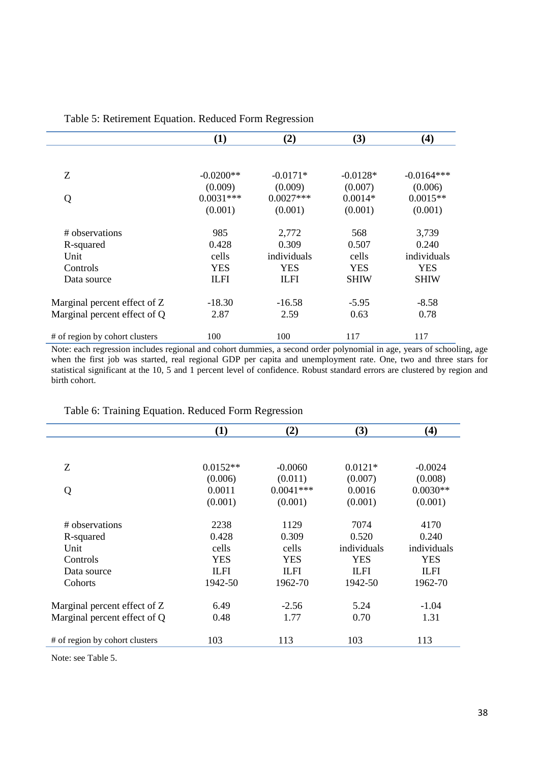|                                | (1)         | (2)         | (3)         | (4)          |
|--------------------------------|-------------|-------------|-------------|--------------|
|                                |             |             |             |              |
| Z                              | $-0.0200**$ | $-0.0171*$  | $-0.0128*$  | $-0.0164***$ |
|                                | (0.009)     | (0.009)     | (0.007)     | (0.006)      |
| Q                              | $0.0031***$ | $0.0027***$ | $0.0014*$   | $0.0015**$   |
|                                | (0.001)     | (0.001)     | (0.001)     | (0.001)      |
| # observations                 | 985         | 2,772       | 568         | 3,739        |
| R-squared                      | 0.428       | 0.309       | 0.507       | 0.240        |
| Unit                           | cells       | individuals | cells       | individuals  |
| Controls                       | <b>YES</b>  | <b>YES</b>  | <b>YES</b>  | <b>YES</b>   |
| Data source                    | <b>ILFI</b> | <b>ILFI</b> | <b>SHIW</b> | <b>SHIW</b>  |
| Marginal percent effect of Z   | $-18.30$    | $-16.58$    | $-5.95$     | $-8.58$      |
| Marginal percent effect of Q   | 2.87        | 2.59        | 0.63        | 0.78         |
| # of region by cohort clusters | 100         | 100         | 117         | 117          |

Table 5: Retirement Equation. Reduced Form Regression

Note: each regression includes regional and cohort dummies, a second order polynomial in age, years of schooling, age when the first job was started, real regional GDP per capita and unemployment rate. One, two and three stars for statistical significant at the 10, 5 and 1 percent level of confidence. Robust standard errors are clustered by region and birth cohort.

| Tuble 0. Trummig Equation. Requeed 1 only Regression |             |             |             |             |
|------------------------------------------------------|-------------|-------------|-------------|-------------|
|                                                      | (1)         | (2)         | (3)         | (4)         |
|                                                      |             |             |             |             |
| Z                                                    | $0.0152**$  | $-0.0060$   | $0.0121*$   | $-0.0024$   |
|                                                      | (0.006)     | (0.011)     | (0.007)     | (0.008)     |
| Q                                                    | 0.0011      | $0.0041***$ | 0.0016      | $0.0030**$  |
|                                                      | (0.001)     | (0.001)     | (0.001)     | (0.001)     |
| # observations                                       | 2238        | 1129        | 7074        | 4170        |
| R-squared                                            | 0.428       | 0.309       | 0.520       | 0.240       |
| Unit                                                 | cells       | cells       | individuals | individuals |
| Controls                                             | <b>YES</b>  | <b>YES</b>  | <b>YES</b>  | <b>YES</b>  |
| Data source                                          | <b>ILFI</b> | <b>ILFI</b> | <b>ILFI</b> | <b>ILFI</b> |
| Cohorts                                              | 1942-50     | 1962-70     | 1942-50     | 1962-70     |
| Marginal percent effect of Z                         | 6.49        | $-2.56$     | 5.24        | $-1.04$     |
| Marginal percent effect of Q                         | 0.48        | 1.77        | 0.70        | 1.31        |
| # of region by cohort clusters                       | 103         | 113         | 103         | 113         |

Table 6: Training Equation. Reduced Form Regression

Note: see Table 5.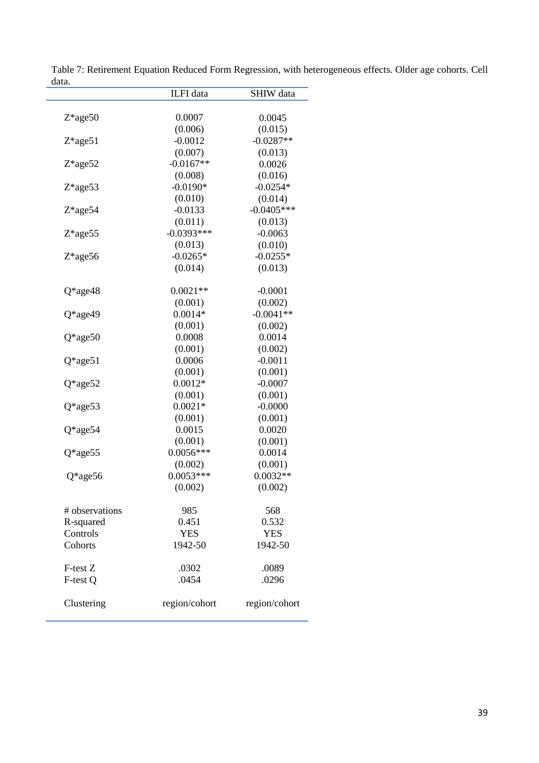|                | ILFI data     | SHIW data     |
|----------------|---------------|---------------|
|                |               |               |
| $Z*age50$      | 0.0007        | 0.0045        |
|                | (0.006)       | (0.015)       |
| $Z*age51$      | $-0.0012$     | $-0.0287**$   |
|                | (0.007)       | (0.013)       |
| $Z*age52$      | $-0.0167**$   | 0.0026        |
|                | (0.008)       | (0.016)       |
| $Z*age53$      | $-0.0190*$    | $-0.0254*$    |
|                | (0.010)       | (0.014)       |
| $Z*age54$      | $-0.0133$     | $-0.0405***$  |
|                | (0.011)       | (0.013)       |
| Z*age55        | $-0.0393***$  | $-0.0063$     |
|                | (0.013)       | (0.010)       |
| $Z*age56$      | $-0.0265*$    | $-0.0255*$    |
|                | (0.014)       | (0.013)       |
| $Q*age48$      | $0.0021**$    | $-0.0001$     |
|                | (0.001)       | (0.002)       |
| Q*age49        | $0.0014*$     | $-0.0041**$   |
|                | (0.001)       | (0.002)       |
| $Q*age50$      | 0.0008        | 0.0014        |
|                | (0.001)       | (0.002)       |
| $Q*age51$      | 0.0006        | $-0.0011$     |
|                | (0.001)       | (0.001)       |
| $Q*age52$      | $0.0012*$     | $-0.0007$     |
|                | (0.001)       | (0.001)       |
| $Q*age53$      | $0.0021*$     | $-0.0000$     |
|                | (0.001)       | (0.001)       |
| $Q*age54$      | 0.0015        | 0.0020        |
|                | (0.001)       | (0.001)       |
| $Q*age55$      | $0.0056***$   | 0.0014        |
|                | (0.002)       | (0.001)       |
| $Q*age56$      | $0.0053***$   | $0.0032**$    |
|                | (0.002)       | (0.002)       |
| # observations | 985           | 568           |
| R-squared      | 0.451         | 0.532         |
| Controls       | <b>YES</b>    | <b>YES</b>    |
| Cohorts        | 1942-50       | 1942-50       |
|                |               |               |
| F-test Z       | .0302         | .0089         |
| F-test Q       | .0454         | .0296         |
| Clustering     | region/cohort | region/cohort |
|                |               |               |

Table 7: Retirement Equation Reduced Form Regression, with heterogeneous effects. Older age cohorts. Cell data. L,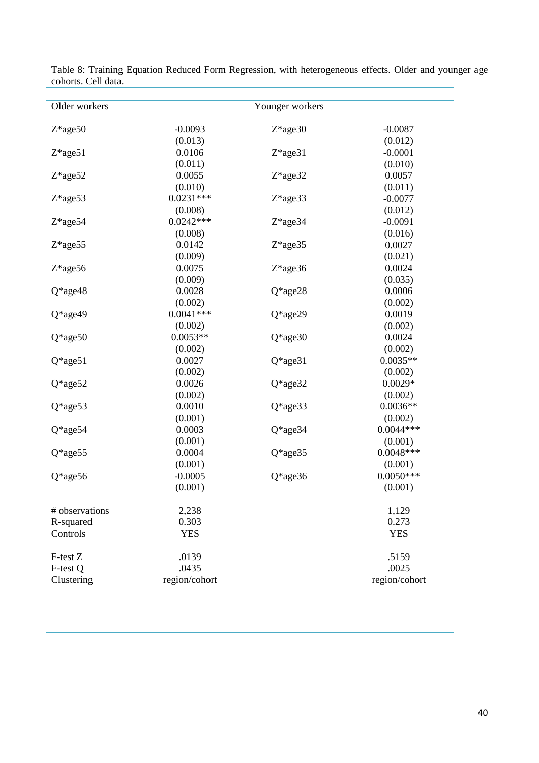| Older workers  |               | Younger workers |               |
|----------------|---------------|-----------------|---------------|
| $Z*age50$      | $-0.0093$     | $Z*age30$       | $-0.0087$     |
|                | (0.013)       |                 | (0.012)       |
| $Z*age51$      | 0.0106        | $Z*age31$       | $-0.0001$     |
|                | (0.011)       |                 | (0.010)       |
| $Z*age52$      | 0.0055        | $Z*age32$       | 0.0057        |
|                | (0.010)       |                 | (0.011)       |
| Z*age53        | $0.0231***$   | Z*age33         | $-0.0077$     |
|                | (0.008)       |                 | (0.012)       |
| Z*age54        | $0.0242***$   | Z*age34         | $-0.0091$     |
|                | (0.008)       |                 | (0.016)       |
| Z*age55        | 0.0142        | Z*age35         | 0.0027        |
|                | (0.009)       |                 | (0.021)       |
| $Z*age56$      | 0.0075        | $Z*age36$       | 0.0024        |
|                | (0.009)       |                 | (0.035)       |
| Q*age48        | 0.0028        | $Q*age28$       | 0.0006        |
|                | (0.002)       |                 | (0.002)       |
| Q*age49        | $0.0041***$   | $Q*age29$       | 0.0019        |
|                | (0.002)       |                 | (0.002)       |
| $Q*age50$      | $0.0053**$    | Q*age30         | 0.0024        |
|                | (0.002)       |                 | (0.002)       |
| $Q*age51$      | 0.0027        | Q*age31         | $0.0035**$    |
|                | (0.002)       |                 | (0.002)       |
| $Q*age52$      | 0.0026        | $Q*age32$       | $0.0029*$     |
|                | (0.002)       |                 | (0.002)       |
| $Q*age53$      | 0.0010        | $Q*age33$       | $0.0036**$    |
|                | (0.001)       |                 | (0.002)       |
| $Q*age54$      | 0.0003        | $Q*age34$       | $0.0044***$   |
|                | (0.001)       |                 | (0.001)       |
| $Q*age55$      | 0.0004        | $Q*age35$       | $0.0048***$   |
|                | (0.001)       |                 | (0.001)       |
| Q*age56        | $-0.0005$     | $Q*age36$       | $0.0050***$   |
|                | (0.001)       |                 | (0.001)       |
| # observations | 2,238         |                 | 1,129         |
| R-squared      | 0.303         |                 | 0.273         |
| Controls       | <b>YES</b>    |                 | <b>YES</b>    |
| F-test Z       | .0139         |                 | .5159         |
| F-test Q       | .0435         |                 | .0025         |
| Clustering     | region/cohort |                 | region/cohort |

Table 8: Training Equation Reduced Form Regression, with heterogeneous effects. Older and younger age cohorts. Cell data.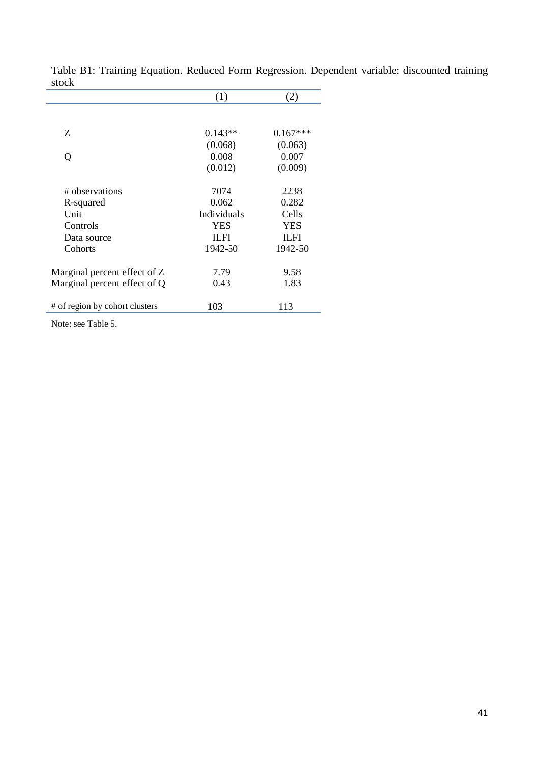|                                | (1)         | (2)         |
|--------------------------------|-------------|-------------|
|                                |             |             |
| Ζ                              | $0.143**$   | $0.167***$  |
|                                | (0.068)     | (0.063)     |
| Q                              | 0.008       | 0.007       |
|                                | (0.012)     | (0.009)     |
| # observations                 | 7074        | 2238        |
| R-squared                      | 0.062       | 0.282       |
| Unit                           | Individuals | Cells       |
| Controls                       | <b>YES</b>  | <b>YES</b>  |
| Data source                    | <b>ILFI</b> | <b>ILFI</b> |
| Cohorts                        | 1942-50     | 1942-50     |
| Marginal percent effect of Z   | 7.79        | 9.58        |
| Marginal percent effect of Q   | 0.43        | 1.83        |
| # of region by cohort clusters | 103         | 113         |

Table B1: Training Equation. Reduced Form Regression. Dependent variable: discounted training stock

Note: see Table 5.